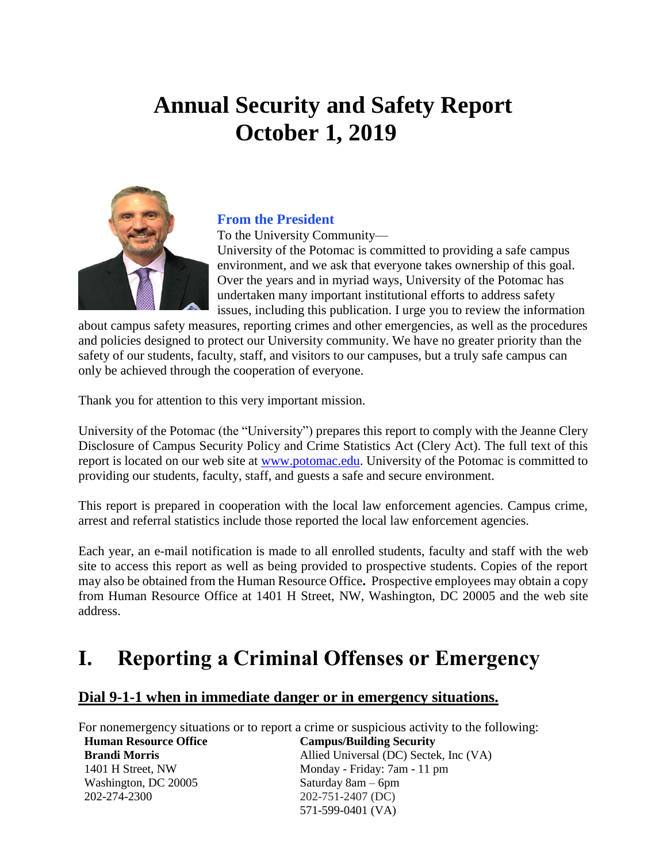# **Annual Security and Safety Report October 1, 2019**



#### **From the President**

To the University Community—

University of the Potomac is committed to providing a safe campus environment, and we ask that everyone takes ownership of this goal. Over the years and in myriad ways, University of the Potomac has undertaken many important institutional efforts to address safety issues, including this publication. I urge you to review the information

about campus safety measures, reporting crimes and other emergencies, as well as the procedures and policies designed to protect our University community. We have no greater priority than the safety of our students, faculty, staff, and visitors to our campuses, but a truly safe campus can only be achieved through the cooperation of everyone.

Thank you for attention to this very important mission.

University of the Potomac (the "University") prepares this report to comply with the Jeanne Clery Disclosure of Campus Security Policy and Crime Statistics Act (Clery Act). The full text of this report is located on our web site at [www.potomac.edu.](http://www.potomac.edu/) University of the Potomac is committed to providing our students, faculty, staff, and guests a safe and secure environment.

This report is prepared in cooperation with the local law enforcement agencies. Campus crime, arrest and referral statistics include those reported the local law enforcement agencies.

Each year, an e-mail notification is made to all enrolled students, faculty and staff with the web site to access this report as well as being provided to prospective students. Copies of the report may also be obtained from the Human Resource Office**.** Prospective employees may obtain a copy from Human Resource Office at 1401 H Street, NW, Washington, DC 20005 and the web site address.

## **I. Reporting a Criminal Offenses or Emergency**

#### **Dial 9-1-1 when in immediate danger or in emergency situations.**

For nonemergency situations or to report a crime or suspicious activity to the following: **Human Resource Office Brandi Morris** 1401 H Street, NW Washington, DC 20005 202-274-2300 **Campus/Building Security** Allied Universal (DC) Sectek, Inc (VA) Monday - Friday: 7am - 11 pm Saturday 8am – 6pm 202-751-2407 (DC) 571-599-0401 (VA)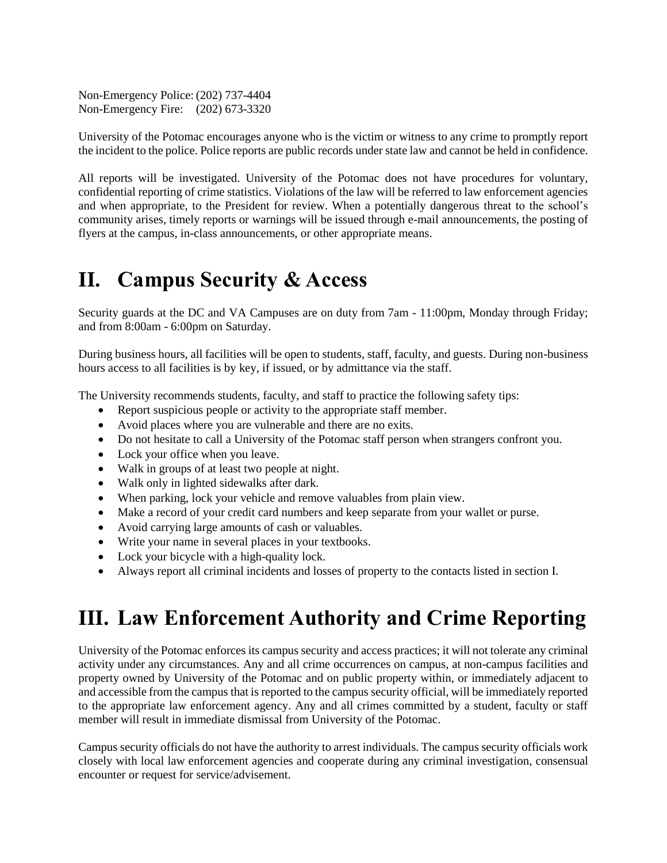Non-Emergency Police: (202) 737-4404 Non-Emergency Fire: (202) 673-3320

University of the Potomac encourages anyone who is the victim or witness to any crime to promptly report the incident to the police. Police reports are public records under state law and cannot be held in confidence.

All reports will be investigated. University of the Potomac does not have procedures for voluntary, confidential reporting of crime statistics. Violations of the law will be referred to law enforcement agencies and when appropriate, to the President for review. When a potentially dangerous threat to the school's community arises, timely reports or warnings will be issued through e-mail announcements, the posting of flyers at the campus, in-class announcements, or other appropriate means.

## **II. Campus Security & Access**

Security guards at the DC and VA Campuses are on duty from 7am - 11:00pm, Monday through Friday; and from 8:00am - 6:00pm on Saturday.

During business hours, all facilities will be open to students, staff, faculty, and guests. During non-business hours access to all facilities is by key, if issued, or by admittance via the staff.

The University recommends students, faculty, and staff to practice the following safety tips:

- Report suspicious people or activity to the appropriate staff member.
- Avoid places where you are vulnerable and there are no exits.
- Do not hesitate to call a University of the Potomac staff person when strangers confront you.
- Lock your office when you leave.
- Walk in groups of at least two people at night.
- Walk only in lighted sidewalks after dark.
- When parking, lock your vehicle and remove valuables from plain view.
- Make a record of your credit card numbers and keep separate from your wallet or purse.
- Avoid carrying large amounts of cash or valuables.
- Write your name in several places in your textbooks.
- Lock your bicycle with a high-quality lock.
- Always report all criminal incidents and losses of property to the contacts listed in section I.

## **III. Law Enforcement Authority and Crime Reporting**

University of the Potomac enforces its campus security and access practices; it will not tolerate any criminal activity under any circumstances. Any and all crime occurrences on campus, at non-campus facilities and property owned by University of the Potomac and on public property within, or immediately adjacent to and accessible from the campus that is reported to the campus security official, will be immediately reported to the appropriate law enforcement agency. Any and all crimes committed by a student, faculty or staff member will result in immediate dismissal from University of the Potomac.

Campus security officials do not have the authority to arrest individuals. The campus security officials work closely with local law enforcement agencies and cooperate during any criminal investigation, consensual encounter or request for service/advisement.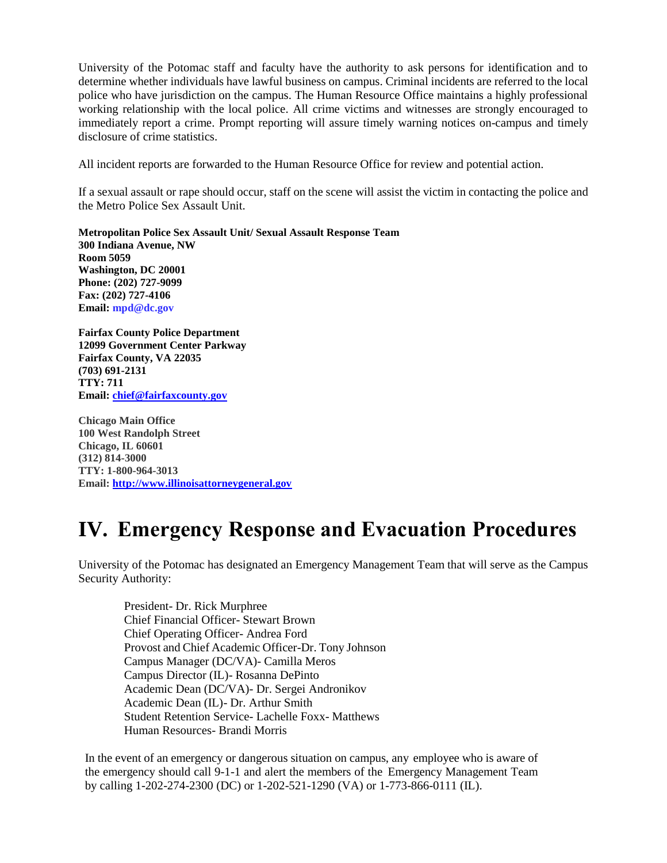University of the Potomac staff and faculty have the authority to ask persons for identification and to determine whether individuals have lawful business on campus. Criminal incidents are referred to the local police who have jurisdiction on the campus. The Human Resource Office maintains a highly professional working relationship with the local police. All crime victims and witnesses are strongly encouraged to immediately report a crime. Prompt reporting will assure timely warning notices on-campus and timely disclosure of crime statistics.

All incident reports are forwarded to the Human Resource Office for review and potential action.

If a sexual assault or rape should occur, staff on the scene will assist the victim in contacting the police and the Metro Police Sex Assault Unit.

**Metropolitan Police Sex Assault Unit/ Sexual Assault Response Team 300 Indiana Avenue, NW Room 5059 Washington, DC 20001 Phone: (202) 727-9099 Fax: (202) 727-4106 Email: [mpd@dc.gov](mailto:mpd@dc.gov)**

**Fairfax County Police Department 12099 Government Center Parkway Fairfax County, VA 22035 (703) 691-2131 TTY: 711 Email: [chief@fairfaxcounty.gov](mailto:chief@fairfaxcounty.gov)**

**Chicago Main Office 100 West Randolph Street Chicago, IL 60601 (312) 814-3000 TTY: 1-800-964-3013 Email: [http://www.illinoisattorneygeneral.gov](http://www.illinoisattorneygeneral.gov/)**

## **IV. Emergency Response and Evacuation Procedures**

University of the Potomac has designated an Emergency Management Team that will serve as the Campus Security Authority:

President- Dr. Rick Murphree Chief Financial Officer- Stewart Brown Chief Operating Officer- Andrea Ford Provost and Chief Academic Officer-Dr. Tony Johnson Campus Manager (DC/VA)- Camilla Meros Campus Director (IL)- Rosanna DePinto Academic Dean (DC/VA)- Dr. Sergei Andronikov Academic Dean (IL)- Dr. Arthur Smith Student Retention Service- Lachelle Foxx- Matthews Human Resources- Brandi Morris

In the event of an emergency or dangerous situation on campus, any employee who is aware of the emergency should call 9-1-1 and alert the members of the Emergency Management Team by calling 1-202-274-2300 (DC) or 1-202-521-1290 (VA) or 1-773-866-0111 (IL).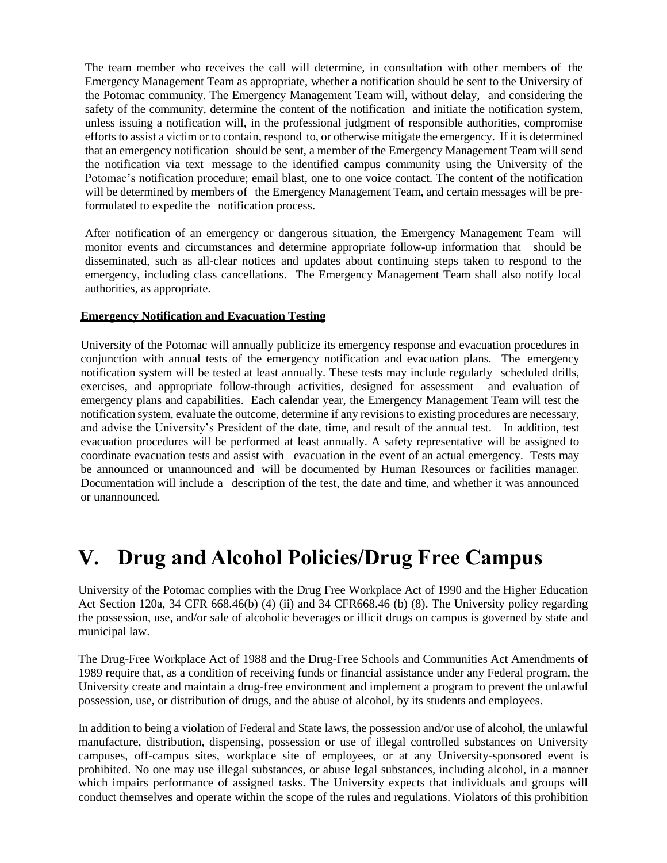The team member who receives the call will determine, in consultation with other members of the Emergency Management Team as appropriate, whether a notification should be sent to the University of the Potomac community. The Emergency Management Team will, without delay, and considering the safety of the community, determine the content of the notification and initiate the notification system, unless issuing a notification will, in the professional judgment of responsible authorities, compromise efforts to assist a victim or to contain, respond to, or otherwise mitigate the emergency. If it is determined that an emergency notification should be sent, a member of the Emergency Management Team will send the notification via text message to the identified campus community using the University of the Potomac's notification procedure; email blast, one to one voice contact. The content of the notification will be determined by members of the Emergency Management Team, and certain messages will be preformulated to expedite the notification process.

After notification of an emergency or dangerous situation, the Emergency Management Team will monitor events and circumstances and determine appropriate follow-up information that should be disseminated, such as all-clear notices and updates about continuing steps taken to respond to the emergency, including class cancellations. The Emergency Management Team shall also notify local authorities, as appropriate.

#### **Emergency Notification and Evacuation Testing**

University of the Potomac will annually publicize its emergency response and evacuation procedures in conjunction with annual tests of the emergency notification and evacuation plans. The emergency notification system will be tested at least annually. These tests may include regularly scheduled drills, exercises, and appropriate follow-through activities, designed for assessment and evaluation of emergency plans and capabilities. Each calendar year, the Emergency Management Team will test the notification system, evaluate the outcome, determine if any revisions to existing procedures are necessary, and advise the University's President of the date, time, and result of the annual test. In addition, test evacuation procedures will be performed at least annually. A safety representative will be assigned to coordinate evacuation tests and assist with evacuation in the event of an actual emergency. Tests may be announced or unannounced and will be documented by Human Resources or facilities manager. Documentation will include a description of the test, the date and time, and whether it was announced or unannounced.

## **V. Drug and Alcohol Policies/Drug Free Campus**

University of the Potomac complies with the Drug Free Workplace Act of 1990 and the Higher Education Act Section 120a, 34 CFR 668.46(b) (4) (ii) and 34 CFR668.46 (b) (8). The University policy regarding the possession, use, and/or sale of alcoholic beverages or illicit drugs on campus is governed by state and municipal law.

The Drug-Free Workplace Act of 1988 and the Drug-Free Schools and Communities Act Amendments of 1989 require that, as a condition of receiving funds or financial assistance under any Federal program, the University create and maintain a drug-free environment and implement a program to prevent the unlawful possession, use, or distribution of drugs, and the abuse of alcohol, by its students and employees.

In addition to being a violation of Federal and State laws, the possession and/or use of alcohol, the unlawful manufacture, distribution, dispensing, possession or use of illegal controlled substances on University campuses, off-campus sites, workplace site of employees, or at any University-sponsored event is prohibited. No one may use illegal substances, or abuse legal substances, including alcohol, in a manner which impairs performance of assigned tasks. The University expects that individuals and groups will conduct themselves and operate within the scope of the rules and regulations. Violators of this prohibition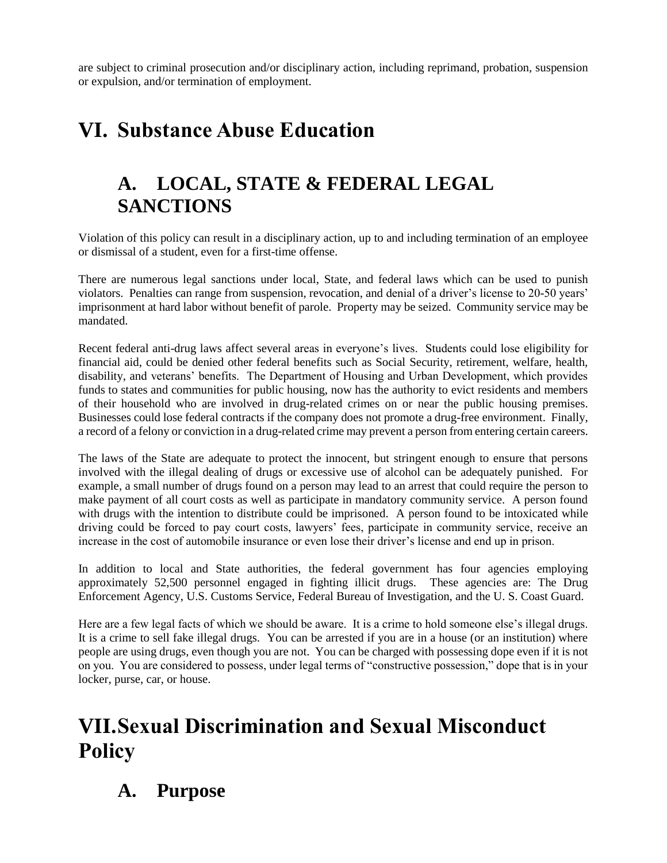are subject to criminal prosecution and/or disciplinary action, including reprimand, probation, suspension or expulsion, and/or termination of employment.

## **VI. Substance Abuse Education**

### **A. LOCAL, STATE & FEDERAL LEGAL SANCTIONS**

Violation of this policy can result in a disciplinary action, up to and including termination of an employee or dismissal of a student, even for a first-time offense.

There are numerous legal sanctions under local, State, and federal laws which can be used to punish violators. Penalties can range from suspension, revocation, and denial of a driver's license to 20-50 years' imprisonment at hard labor without benefit of parole. Property may be seized. Community service may be mandated.

Recent federal anti-drug laws affect several areas in everyone's lives. Students could lose eligibility for financial aid, could be denied other federal benefits such as Social Security, retirement, welfare, health, disability, and veterans' benefits. The Department of Housing and Urban Development, which provides funds to states and communities for public housing, now has the authority to evict residents and members of their household who are involved in drug-related crimes on or near the public housing premises. Businesses could lose federal contracts if the company does not promote a drug-free environment. Finally, a record of a felony or conviction in a drug-related crime may prevent a person from entering certain careers.

The laws of the State are adequate to protect the innocent, but stringent enough to ensure that persons involved with the illegal dealing of drugs or excessive use of alcohol can be adequately punished. For example, a small number of drugs found on a person may lead to an arrest that could require the person to make payment of all court costs as well as participate in mandatory community service. A person found with drugs with the intention to distribute could be imprisoned. A person found to be intoxicated while driving could be forced to pay court costs, lawyers' fees, participate in community service, receive an increase in the cost of automobile insurance or even lose their driver's license and end up in prison.

In addition to local and State authorities, the federal government has four agencies employing approximately 52,500 personnel engaged in fighting illicit drugs. These agencies are: The Drug Enforcement Agency, U.S. Customs Service, Federal Bureau of Investigation, and the U. S. Coast Guard.

Here are a few legal facts of which we should be aware. It is a crime to hold someone else's illegal drugs. It is a crime to sell fake illegal drugs. You can be arrested if you are in a house (or an institution) where people are using drugs, even though you are not. You can be charged with possessing dope even if it is not on you. You are considered to possess, under legal terms of "constructive possession," dope that is in your locker, purse, car, or house.

## **VII.Sexual Discrimination and Sexual Misconduct Policy**

#### **A. Purpose**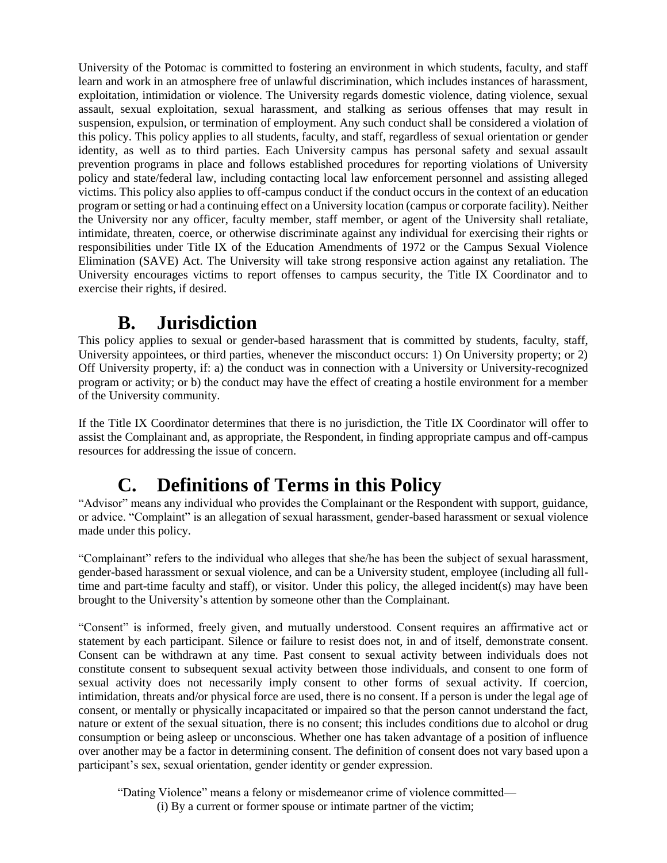University of the Potomac is committed to fostering an environment in which students, faculty, and staff learn and work in an atmosphere free of unlawful discrimination, which includes instances of harassment, exploitation, intimidation or violence. The University regards domestic violence, dating violence, sexual assault, sexual exploitation, sexual harassment, and stalking as serious offenses that may result in suspension, expulsion, or termination of employment. Any such conduct shall be considered a violation of this policy. This policy applies to all students, faculty, and staff, regardless of sexual orientation or gender identity, as well as to third parties. Each University campus has personal safety and sexual assault prevention programs in place and follows established procedures for reporting violations of University policy and state/federal law, including contacting local law enforcement personnel and assisting alleged victims. This policy also applies to off-campus conduct if the conduct occurs in the context of an education program or setting or had a continuing effect on a University location (campus or corporate facility). Neither the University nor any officer, faculty member, staff member, or agent of the University shall retaliate, intimidate, threaten, coerce, or otherwise discriminate against any individual for exercising their rights or responsibilities under Title IX of the Education Amendments of 1972 or the Campus Sexual Violence Elimination (SAVE) Act. The University will take strong responsive action against any retaliation. The University encourages victims to report offenses to campus security, the Title IX Coordinator and to exercise their rights, if desired.

### **B. Jurisdiction**

This policy applies to sexual or gender-based harassment that is committed by students, faculty, staff, University appointees, or third parties, whenever the misconduct occurs: 1) On University property; or 2) Off University property, if: a) the conduct was in connection with a University or University-recognized program or activity; or b) the conduct may have the effect of creating a hostile environment for a member of the University community.

If the Title IX Coordinator determines that there is no jurisdiction, the Title IX Coordinator will offer to assist the Complainant and, as appropriate, the Respondent, in finding appropriate campus and off-campus resources for addressing the issue of concern.

## **C. Definitions of Terms in this Policy**

"Advisor" means any individual who provides the Complainant or the Respondent with support, guidance, or advice. "Complaint" is an allegation of sexual harassment, gender-based harassment or sexual violence made under this policy.

"Complainant" refers to the individual who alleges that she/he has been the subject of sexual harassment, gender-based harassment or sexual violence, and can be a University student, employee (including all fulltime and part-time faculty and staff), or visitor. Under this policy, the alleged incident(s) may have been brought to the University's attention by someone other than the Complainant.

"Consent" is informed, freely given, and mutually understood. Consent requires an affirmative act or statement by each participant. Silence or failure to resist does not, in and of itself, demonstrate consent. Consent can be withdrawn at any time. Past consent to sexual activity between individuals does not constitute consent to subsequent sexual activity between those individuals, and consent to one form of sexual activity does not necessarily imply consent to other forms of sexual activity. If coercion, intimidation, threats and/or physical force are used, there is no consent. If a person is under the legal age of consent, or mentally or physically incapacitated or impaired so that the person cannot understand the fact, nature or extent of the sexual situation, there is no consent; this includes conditions due to alcohol or drug consumption or being asleep or unconscious. Whether one has taken advantage of a position of influence over another may be a factor in determining consent. The definition of consent does not vary based upon a participant's sex, sexual orientation, gender identity or gender expression.

"Dating Violence" means a felony or misdemeanor crime of violence committed— (i) By a current or former spouse or intimate partner of the victim;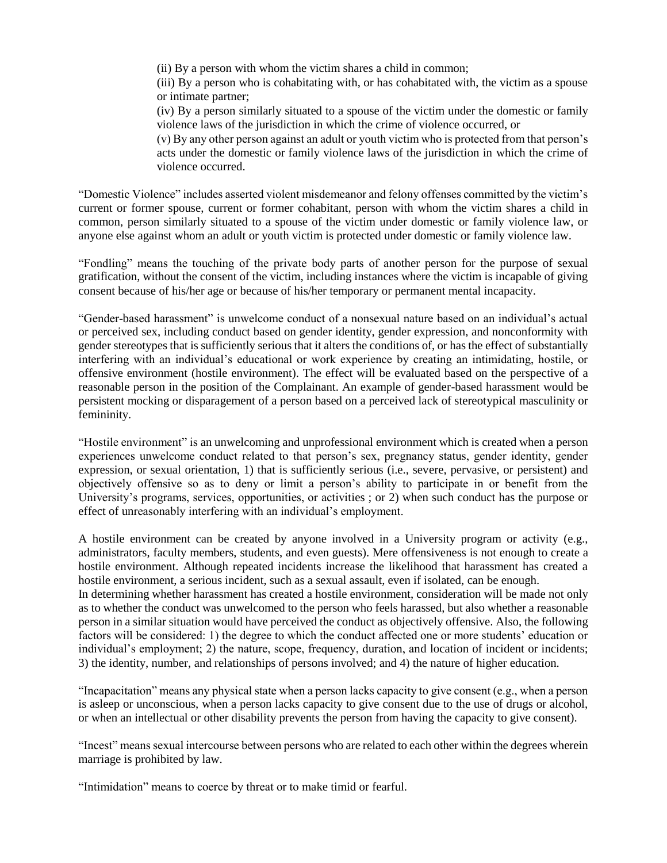(ii) By a person with whom the victim shares a child in common;

(iii) By a person who is cohabitating with, or has cohabitated with, the victim as a spouse or intimate partner;

(iv) By a person similarly situated to a spouse of the victim under the domestic or family violence laws of the jurisdiction in which the crime of violence occurred, or

(v) By any other person against an adult or youth victim who is protected from that person's acts under the domestic or family violence laws of the jurisdiction in which the crime of violence occurred.

"Domestic Violence" includes asserted violent misdemeanor and felony offenses committed by the victim's current or former spouse, current or former cohabitant, person with whom the victim shares a child in common, person similarly situated to a spouse of the victim under domestic or family violence law, or anyone else against whom an adult or youth victim is protected under domestic or family violence law.

"Fondling" means the touching of the private body parts of another person for the purpose of sexual gratification, without the consent of the victim, including instances where the victim is incapable of giving consent because of his/her age or because of his/her temporary or permanent mental incapacity.

"Gender-based harassment" is unwelcome conduct of a nonsexual nature based on an individual's actual or perceived sex, including conduct based on gender identity, gender expression, and nonconformity with gender stereotypes that is sufficiently serious that it alters the conditions of, or has the effect of substantially interfering with an individual's educational or work experience by creating an intimidating, hostile, or offensive environment (hostile environment). The effect will be evaluated based on the perspective of a reasonable person in the position of the Complainant. An example of gender-based harassment would be persistent mocking or disparagement of a person based on a perceived lack of stereotypical masculinity or femininity.

"Hostile environment" is an unwelcoming and unprofessional environment which is created when a person experiences unwelcome conduct related to that person's sex, pregnancy status, gender identity, gender expression, or sexual orientation, 1) that is sufficiently serious (i.e., severe, pervasive, or persistent) and objectively offensive so as to deny or limit a person's ability to participate in or benefit from the University's programs, services, opportunities, or activities ; or 2) when such conduct has the purpose or effect of unreasonably interfering with an individual's employment.

A hostile environment can be created by anyone involved in a University program or activity (e.g., administrators, faculty members, students, and even guests). Mere offensiveness is not enough to create a hostile environment. Although repeated incidents increase the likelihood that harassment has created a hostile environment, a serious incident, such as a sexual assault, even if isolated, can be enough. In determining whether harassment has created a hostile environment, consideration will be made not only as to whether the conduct was unwelcomed to the person who feels harassed, but also whether a reasonable person in a similar situation would have perceived the conduct as objectively offensive. Also, the following factors will be considered: 1) the degree to which the conduct affected one or more students' education or individual's employment; 2) the nature, scope, frequency, duration, and location of incident or incidents; 3) the identity, number, and relationships of persons involved; and 4) the nature of higher education.

"Incapacitation" means any physical state when a person lacks capacity to give consent (e.g., when a person is asleep or unconscious, when a person lacks capacity to give consent due to the use of drugs or alcohol, or when an intellectual or other disability prevents the person from having the capacity to give consent).

"Incest" means sexual intercourse between persons who are related to each other within the degrees wherein marriage is prohibited by law.

"Intimidation" means to coerce by threat or to make timid or fearful.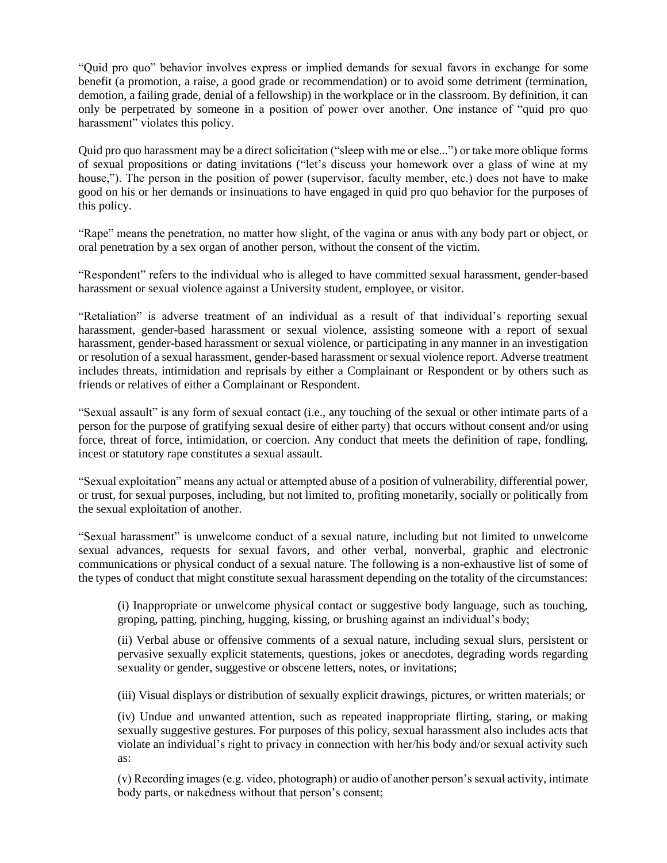"Quid pro quo" behavior involves express or implied demands for sexual favors in exchange for some benefit (a promotion, a raise, a good grade or recommendation) or to avoid some detriment (termination, demotion, a failing grade, denial of a fellowship) in the workplace or in the classroom. By definition, it can only be perpetrated by someone in a position of power over another. One instance of "quid pro quo harassment" violates this policy.

Quid pro quo harassment may be a direct solicitation ("sleep with me or else...") or take more oblique forms of sexual propositions or dating invitations ("let's discuss your homework over a glass of wine at my house,"). The person in the position of power (supervisor, faculty member, etc.) does not have to make good on his or her demands or insinuations to have engaged in quid pro quo behavior for the purposes of this policy.

"Rape" means the penetration, no matter how slight, of the vagina or anus with any body part or object, or oral penetration by a sex organ of another person, without the consent of the victim.

"Respondent" refers to the individual who is alleged to have committed sexual harassment, gender-based harassment or sexual violence against a University student, employee, or visitor.

"Retaliation" is adverse treatment of an individual as a result of that individual's reporting sexual harassment, gender-based harassment or sexual violence, assisting someone with a report of sexual harassment, gender-based harassment or sexual violence, or participating in any manner in an investigation or resolution of a sexual harassment, gender-based harassment or sexual violence report. Adverse treatment includes threats, intimidation and reprisals by either a Complainant or Respondent or by others such as friends or relatives of either a Complainant or Respondent.

"Sexual assault" is any form of sexual contact (i.e., any touching of the sexual or other intimate parts of a person for the purpose of gratifying sexual desire of either party) that occurs without consent and/or using force, threat of force, intimidation, or coercion. Any conduct that meets the definition of rape, fondling, incest or statutory rape constitutes a sexual assault.

"Sexual exploitation" means any actual or attempted abuse of a position of vulnerability, differential power, or trust, for sexual purposes, including, but not limited to, profiting monetarily, socially or politically from the sexual exploitation of another.

"Sexual harassment" is unwelcome conduct of a sexual nature, including but not limited to unwelcome sexual advances, requests for sexual favors, and other verbal, nonverbal, graphic and electronic communications or physical conduct of a sexual nature. The following is a non-exhaustive list of some of the types of conduct that might constitute sexual harassment depending on the totality of the circumstances:

(i) Inappropriate or unwelcome physical contact or suggestive body language, such as touching, groping, patting, pinching, hugging, kissing, or brushing against an individual's body;

(ii) Verbal abuse or offensive comments of a sexual nature, including sexual slurs, persistent or pervasive sexually explicit statements, questions, jokes or anecdotes, degrading words regarding sexuality or gender, suggestive or obscene letters, notes, or invitations;

(iii) Visual displays or distribution of sexually explicit drawings, pictures, or written materials; or

(iv) Undue and unwanted attention, such as repeated inappropriate flirting, staring, or making sexually suggestive gestures. For purposes of this policy, sexual harassment also includes acts that violate an individual's right to privacy in connection with her/his body and/or sexual activity such as:

(v) Recording images (e.g. video, photograph) or audio of another person's sexual activity, intimate body parts, or nakedness without that person's consent;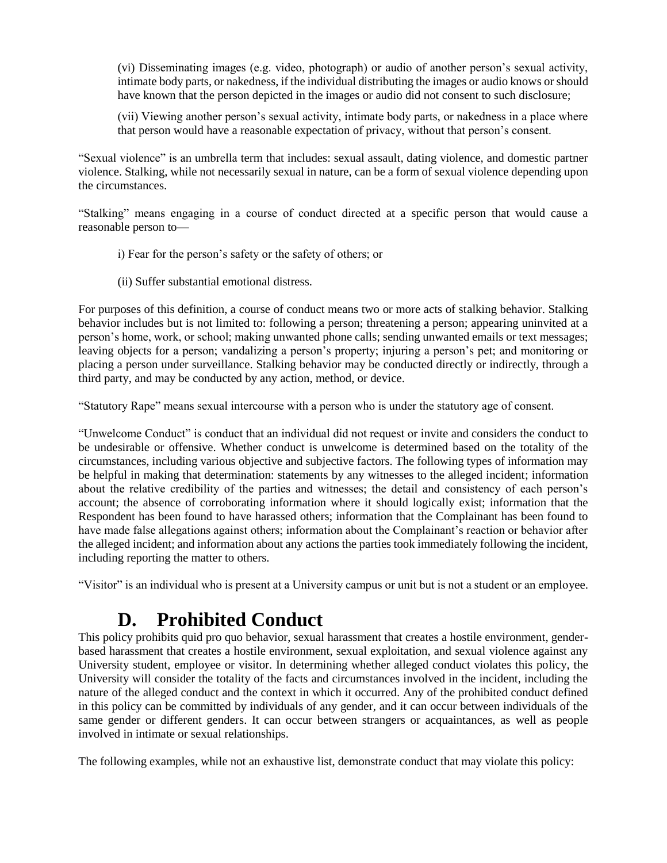(vi) Disseminating images (e.g. video, photograph) or audio of another person's sexual activity, intimate body parts, or nakedness, if the individual distributing the images or audio knows or should have known that the person depicted in the images or audio did not consent to such disclosure;

(vii) Viewing another person's sexual activity, intimate body parts, or nakedness in a place where that person would have a reasonable expectation of privacy, without that person's consent.

"Sexual violence" is an umbrella term that includes: sexual assault, dating violence, and domestic partner violence. Stalking, while not necessarily sexual in nature, can be a form of sexual violence depending upon the circumstances.

"Stalking" means engaging in a course of conduct directed at a specific person that would cause a reasonable person to—

- i) Fear for the person's safety or the safety of others; or
- (ii) Suffer substantial emotional distress.

For purposes of this definition, a course of conduct means two or more acts of stalking behavior. Stalking behavior includes but is not limited to: following a person; threatening a person; appearing uninvited at a person's home, work, or school; making unwanted phone calls; sending unwanted emails or text messages; leaving objects for a person; vandalizing a person's property; injuring a person's pet; and monitoring or placing a person under surveillance. Stalking behavior may be conducted directly or indirectly, through a third party, and may be conducted by any action, method, or device.

"Statutory Rape" means sexual intercourse with a person who is under the statutory age of consent.

"Unwelcome Conduct" is conduct that an individual did not request or invite and considers the conduct to be undesirable or offensive. Whether conduct is unwelcome is determined based on the totality of the circumstances, including various objective and subjective factors. The following types of information may be helpful in making that determination: statements by any witnesses to the alleged incident; information about the relative credibility of the parties and witnesses; the detail and consistency of each person's account; the absence of corroborating information where it should logically exist; information that the Respondent has been found to have harassed others; information that the Complainant has been found to have made false allegations against others; information about the Complainant's reaction or behavior after the alleged incident; and information about any actions the parties took immediately following the incident, including reporting the matter to others.

"Visitor" is an individual who is present at a University campus or unit but is not a student or an employee.

### **D. Prohibited Conduct**

This policy prohibits quid pro quo behavior, sexual harassment that creates a hostile environment, genderbased harassment that creates a hostile environment, sexual exploitation, and sexual violence against any University student, employee or visitor. In determining whether alleged conduct violates this policy, the University will consider the totality of the facts and circumstances involved in the incident, including the nature of the alleged conduct and the context in which it occurred. Any of the prohibited conduct defined in this policy can be committed by individuals of any gender, and it can occur between individuals of the same gender or different genders. It can occur between strangers or acquaintances, as well as people involved in intimate or sexual relationships.

The following examples, while not an exhaustive list, demonstrate conduct that may violate this policy: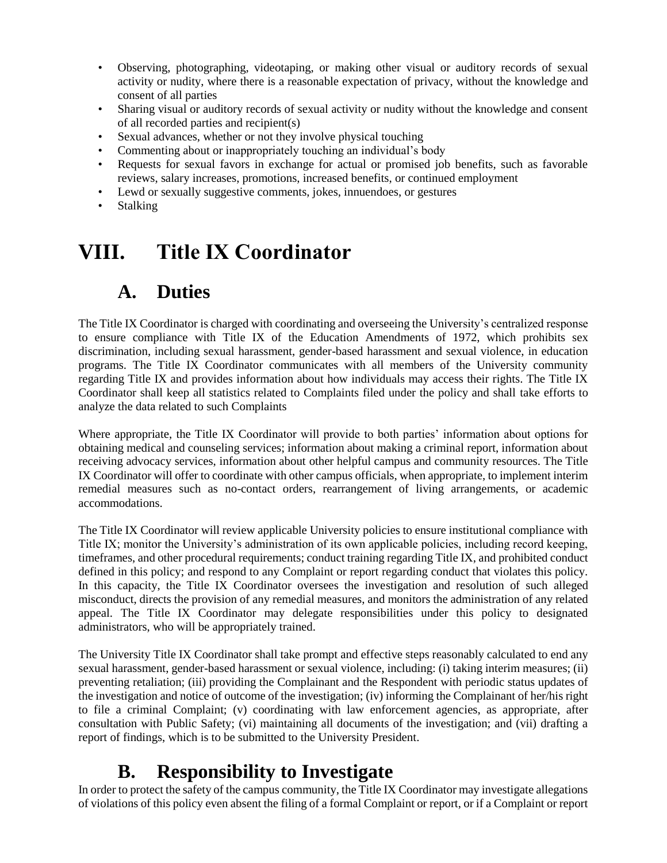- Observing, photographing, videotaping, or making other visual or auditory records of sexual activity or nudity, where there is a reasonable expectation of privacy, without the knowledge and consent of all parties
- Sharing visual or auditory records of sexual activity or nudity without the knowledge and consent of all recorded parties and recipient(s)
- Sexual advances, whether or not they involve physical touching
- Commenting about or inappropriately touching an individual's body
- Requests for sexual favors in exchange for actual or promised job benefits, such as favorable reviews, salary increases, promotions, increased benefits, or continued employment
- Lewd or sexually suggestive comments, jokes, innuendoes, or gestures
- **Stalking**

## **VIII. Title IX Coordinator**

#### **A. Duties**

The Title IX Coordinator is charged with coordinating and overseeing the University's centralized response to ensure compliance with Title IX of the Education Amendments of 1972, which prohibits sex discrimination, including sexual harassment, gender-based harassment and sexual violence, in education programs. The Title IX Coordinator communicates with all members of the University community regarding Title IX and provides information about how individuals may access their rights. The Title IX Coordinator shall keep all statistics related to Complaints filed under the policy and shall take efforts to analyze the data related to such Complaints

Where appropriate, the Title IX Coordinator will provide to both parties' information about options for obtaining medical and counseling services; information about making a criminal report, information about receiving advocacy services, information about other helpful campus and community resources. The Title IX Coordinator will offer to coordinate with other campus officials, when appropriate, to implement interim remedial measures such as no-contact orders, rearrangement of living arrangements, or academic accommodations.

The Title IX Coordinator will review applicable University policies to ensure institutional compliance with Title IX; monitor the University's administration of its own applicable policies, including record keeping, timeframes, and other procedural requirements; conduct training regarding Title IX, and prohibited conduct defined in this policy; and respond to any Complaint or report regarding conduct that violates this policy. In this capacity, the Title IX Coordinator oversees the investigation and resolution of such alleged misconduct, directs the provision of any remedial measures, and monitors the administration of any related appeal. The Title IX Coordinator may delegate responsibilities under this policy to designated administrators, who will be appropriately trained.

The University Title IX Coordinator shall take prompt and effective steps reasonably calculated to end any sexual harassment, gender-based harassment or sexual violence, including: (i) taking interim measures; (ii) preventing retaliation; (iii) providing the Complainant and the Respondent with periodic status updates of the investigation and notice of outcome of the investigation; (iv) informing the Complainant of her/his right to file a criminal Complaint; (v) coordinating with law enforcement agencies, as appropriate, after consultation with Public Safety; (vi) maintaining all documents of the investigation; and (vii) drafting a report of findings, which is to be submitted to the University President.

### **B. Responsibility to Investigate**

In order to protect the safety of the campus community, the Title IX Coordinator may investigate allegations of violations of this policy even absent the filing of a formal Complaint or report, or if a Complaint or report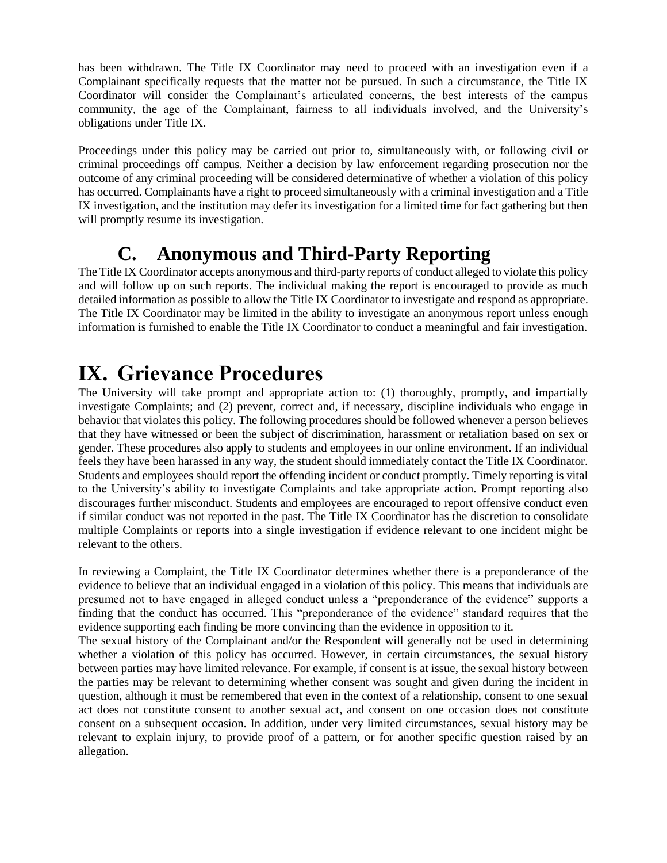has been withdrawn. The Title IX Coordinator may need to proceed with an investigation even if a Complainant specifically requests that the matter not be pursued. In such a circumstance, the Title IX Coordinator will consider the Complainant's articulated concerns, the best interests of the campus community, the age of the Complainant, fairness to all individuals involved, and the University's obligations under Title IX.

Proceedings under this policy may be carried out prior to, simultaneously with, or following civil or criminal proceedings off campus. Neither a decision by law enforcement regarding prosecution nor the outcome of any criminal proceeding will be considered determinative of whether a violation of this policy has occurred. Complainants have a right to proceed simultaneously with a criminal investigation and a Title IX investigation, and the institution may defer its investigation for a limited time for fact gathering but then will promptly resume its investigation.

#### **C. Anonymous and Third-Party Reporting**

The Title IX Coordinator accepts anonymous and third-party reports of conduct alleged to violate this policy and will follow up on such reports. The individual making the report is encouraged to provide as much detailed information as possible to allow the Title IX Coordinator to investigate and respond as appropriate. The Title IX Coordinator may be limited in the ability to investigate an anonymous report unless enough information is furnished to enable the Title IX Coordinator to conduct a meaningful and fair investigation.

## **IX. Grievance Procedures**

The University will take prompt and appropriate action to: (1) thoroughly, promptly, and impartially investigate Complaints; and (2) prevent, correct and, if necessary, discipline individuals who engage in behavior that violates this policy. The following procedures should be followed whenever a person believes that they have witnessed or been the subject of discrimination, harassment or retaliation based on sex or gender. These procedures also apply to students and employees in our online environment. If an individual feels they have been harassed in any way, the student should immediately contact the Title IX Coordinator. Students and employees should report the offending incident or conduct promptly. Timely reporting is vital to the University's ability to investigate Complaints and take appropriate action. Prompt reporting also discourages further misconduct. Students and employees are encouraged to report offensive conduct even if similar conduct was not reported in the past. The Title IX Coordinator has the discretion to consolidate multiple Complaints or reports into a single investigation if evidence relevant to one incident might be relevant to the others.

In reviewing a Complaint, the Title IX Coordinator determines whether there is a preponderance of the evidence to believe that an individual engaged in a violation of this policy. This means that individuals are presumed not to have engaged in alleged conduct unless a "preponderance of the evidence" supports a finding that the conduct has occurred. This "preponderance of the evidence" standard requires that the evidence supporting each finding be more convincing than the evidence in opposition to it.

The sexual history of the Complainant and/or the Respondent will generally not be used in determining whether a violation of this policy has occurred. However, in certain circumstances, the sexual history between parties may have limited relevance. For example, if consent is at issue, the sexual history between the parties may be relevant to determining whether consent was sought and given during the incident in question, although it must be remembered that even in the context of a relationship, consent to one sexual act does not constitute consent to another sexual act, and consent on one occasion does not constitute consent on a subsequent occasion. In addition, under very limited circumstances, sexual history may be relevant to explain injury, to provide proof of a pattern, or for another specific question raised by an allegation.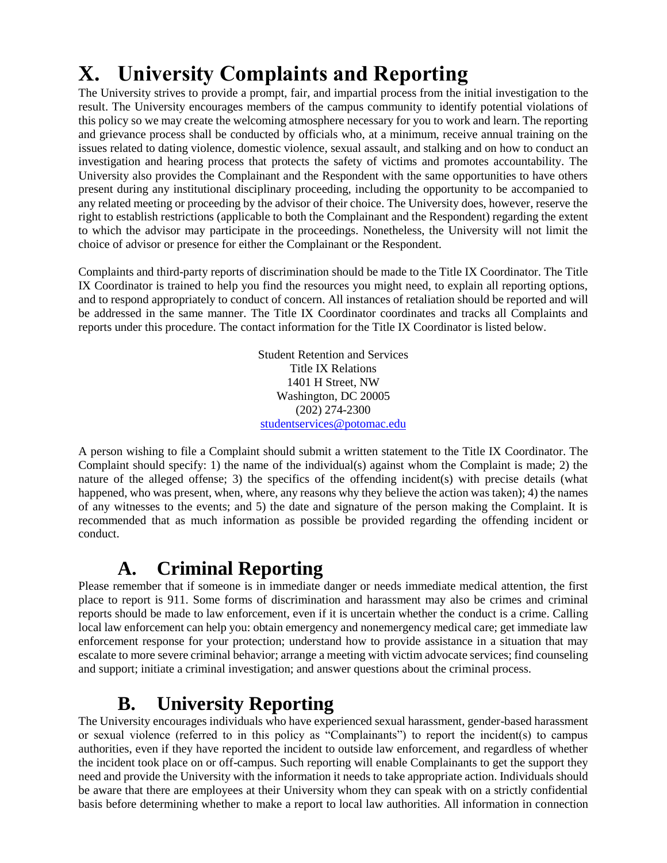# **X. University Complaints and Reporting**

The University strives to provide a prompt, fair, and impartial process from the initial investigation to the result. The University encourages members of the campus community to identify potential violations of this policy so we may create the welcoming atmosphere necessary for you to work and learn. The reporting and grievance process shall be conducted by officials who, at a minimum, receive annual training on the issues related to dating violence, domestic violence, sexual assault, and stalking and on how to conduct an investigation and hearing process that protects the safety of victims and promotes accountability. The University also provides the Complainant and the Respondent with the same opportunities to have others present during any institutional disciplinary proceeding, including the opportunity to be accompanied to any related meeting or proceeding by the advisor of their choice. The University does, however, reserve the right to establish restrictions (applicable to both the Complainant and the Respondent) regarding the extent to which the advisor may participate in the proceedings. Nonetheless, the University will not limit the choice of advisor or presence for either the Complainant or the Respondent.

Complaints and third-party reports of discrimination should be made to the Title IX Coordinator. The Title IX Coordinator is trained to help you find the resources you might need, to explain all reporting options, and to respond appropriately to conduct of concern. All instances of retaliation should be reported and will be addressed in the same manner. The Title IX Coordinator coordinates and tracks all Complaints and reports under this procedure. The contact information for the Title IX Coordinator is listed below.

> Student Retention and Services Title IX Relations 1401 H Street, NW Washington, DC 20005 (202) 274-2300 [studentservices@potomac.edu](mailto:studentservices@potomac.edu)

A person wishing to file a Complaint should submit a written statement to the Title IX Coordinator. The Complaint should specify: 1) the name of the individual(s) against whom the Complaint is made; 2) the nature of the alleged offense; 3) the specifics of the offending incident(s) with precise details (what happened, who was present, when, where, any reasons why they believe the action was taken); 4) the names of any witnesses to the events; and 5) the date and signature of the person making the Complaint. It is recommended that as much information as possible be provided regarding the offending incident or conduct.

## **A. Criminal Reporting**

Please remember that if someone is in immediate danger or needs immediate medical attention, the first place to report is 911. Some forms of discrimination and harassment may also be crimes and criminal reports should be made to law enforcement, even if it is uncertain whether the conduct is a crime. Calling local law enforcement can help you: obtain emergency and nonemergency medical care; get immediate law enforcement response for your protection; understand how to provide assistance in a situation that may escalate to more severe criminal behavior; arrange a meeting with victim advocate services; find counseling and support; initiate a criminal investigation; and answer questions about the criminal process.

### **B. University Reporting**

The University encourages individuals who have experienced sexual harassment, gender-based harassment or sexual violence (referred to in this policy as "Complainants") to report the incident(s) to campus authorities, even if they have reported the incident to outside law enforcement, and regardless of whether the incident took place on or off-campus. Such reporting will enable Complainants to get the support they need and provide the University with the information it needs to take appropriate action. Individuals should be aware that there are employees at their University whom they can speak with on a strictly confidential basis before determining whether to make a report to local law authorities. All information in connection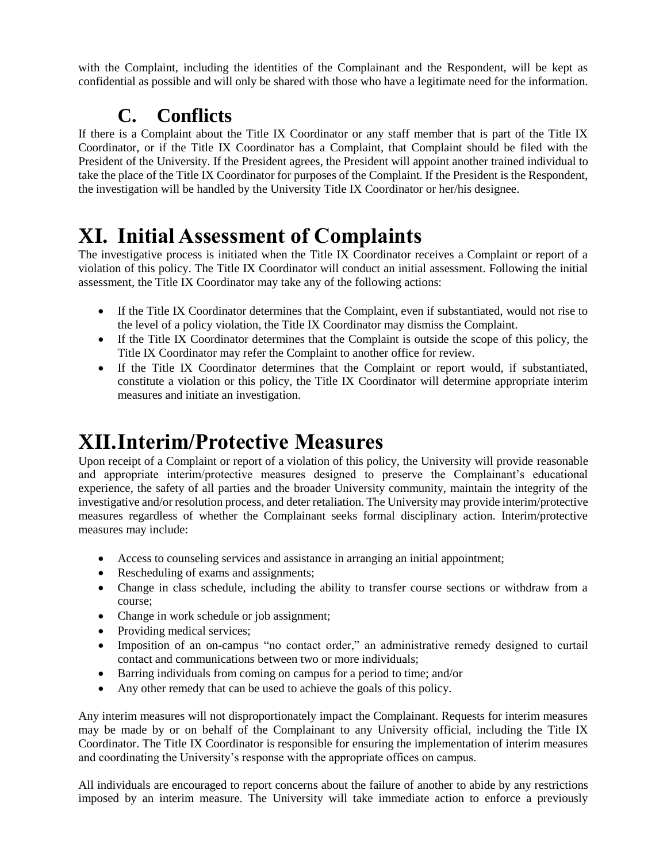with the Complaint, including the identities of the Complainant and the Respondent, will be kept as confidential as possible and will only be shared with those who have a legitimate need for the information.

## **C. Conflicts**

If there is a Complaint about the Title IX Coordinator or any staff member that is part of the Title IX Coordinator, or if the Title IX Coordinator has a Complaint, that Complaint should be filed with the President of the University. If the President agrees, the President will appoint another trained individual to take the place of the Title IX Coordinator for purposes of the Complaint. If the President is the Respondent, the investigation will be handled by the University Title IX Coordinator or her/his designee.

# **XI. Initial Assessment of Complaints**

The investigative process is initiated when the Title IX Coordinator receives a Complaint or report of a violation of this policy. The Title IX Coordinator will conduct an initial assessment. Following the initial assessment, the Title IX Coordinator may take any of the following actions:

- If the Title IX Coordinator determines that the Complaint, even if substantiated, would not rise to the level of a policy violation, the Title IX Coordinator may dismiss the Complaint.
- If the Title IX Coordinator determines that the Complaint is outside the scope of this policy, the Title IX Coordinator may refer the Complaint to another office for review.
- If the Title IX Coordinator determines that the Complaint or report would, if substantiated, constitute a violation or this policy, the Title IX Coordinator will determine appropriate interim measures and initiate an investigation.

## **XII.Interim/Protective Measures**

Upon receipt of a Complaint or report of a violation of this policy, the University will provide reasonable and appropriate interim/protective measures designed to preserve the Complainant's educational experience, the safety of all parties and the broader University community, maintain the integrity of the investigative and/or resolution process, and deter retaliation. The University may provide interim/protective measures regardless of whether the Complainant seeks formal disciplinary action. Interim/protective measures may include:

- Access to counseling services and assistance in arranging an initial appointment;
- Rescheduling of exams and assignments;
- Change in class schedule, including the ability to transfer course sections or withdraw from a course;
- Change in work schedule or job assignment;
- Providing medical services;
- Imposition of an on-campus "no contact order," an administrative remedy designed to curtail contact and communications between two or more individuals;
- Barring individuals from coming on campus for a period to time; and/or
- Any other remedy that can be used to achieve the goals of this policy.

Any interim measures will not disproportionately impact the Complainant. Requests for interim measures may be made by or on behalf of the Complainant to any University official, including the Title IX Coordinator. The Title IX Coordinator is responsible for ensuring the implementation of interim measures and coordinating the University's response with the appropriate offices on campus.

All individuals are encouraged to report concerns about the failure of another to abide by any restrictions imposed by an interim measure. The University will take immediate action to enforce a previously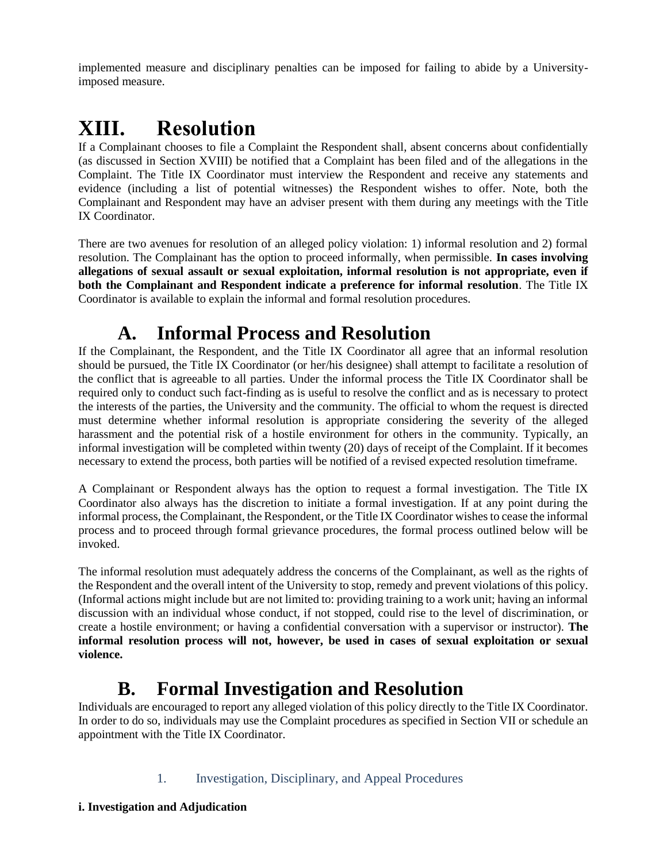implemented measure and disciplinary penalties can be imposed for failing to abide by a Universityimposed measure.

## **XIII. Resolution**

If a Complainant chooses to file a Complaint the Respondent shall, absent concerns about confidentially (as discussed in Section XVIII) be notified that a Complaint has been filed and of the allegations in the Complaint. The Title IX Coordinator must interview the Respondent and receive any statements and evidence (including a list of potential witnesses) the Respondent wishes to offer. Note, both the Complainant and Respondent may have an adviser present with them during any meetings with the Title IX Coordinator.

There are two avenues for resolution of an alleged policy violation: 1) informal resolution and 2) formal resolution. The Complainant has the option to proceed informally, when permissible. **In cases involving allegations of sexual assault or sexual exploitation, informal resolution is not appropriate, even if both the Complainant and Respondent indicate a preference for informal resolution**. The Title IX Coordinator is available to explain the informal and formal resolution procedures.

## **A. Informal Process and Resolution**

If the Complainant, the Respondent, and the Title IX Coordinator all agree that an informal resolution should be pursued, the Title IX Coordinator (or her/his designee) shall attempt to facilitate a resolution of the conflict that is agreeable to all parties. Under the informal process the Title IX Coordinator shall be required only to conduct such fact-finding as is useful to resolve the conflict and as is necessary to protect the interests of the parties, the University and the community. The official to whom the request is directed must determine whether informal resolution is appropriate considering the severity of the alleged harassment and the potential risk of a hostile environment for others in the community. Typically, an informal investigation will be completed within twenty (20) days of receipt of the Complaint. If it becomes necessary to extend the process, both parties will be notified of a revised expected resolution timeframe.

A Complainant or Respondent always has the option to request a formal investigation. The Title IX Coordinator also always has the discretion to initiate a formal investigation. If at any point during the informal process, the Complainant, the Respondent, or the Title IX Coordinator wishes to cease the informal process and to proceed through formal grievance procedures, the formal process outlined below will be invoked.

The informal resolution must adequately address the concerns of the Complainant, as well as the rights of the Respondent and the overall intent of the University to stop, remedy and prevent violations of this policy. (Informal actions might include but are not limited to: providing training to a work unit; having an informal discussion with an individual whose conduct, if not stopped, could rise to the level of discrimination, or create a hostile environment; or having a confidential conversation with a supervisor or instructor). **The informal resolution process will not, however, be used in cases of sexual exploitation or sexual violence.**

### **B. Formal Investigation and Resolution**

Individuals are encouraged to report any alleged violation of this policy directly to the Title IX Coordinator. In order to do so, individuals may use the Complaint procedures as specified in Section VII or schedule an appointment with the Title IX Coordinator.

1. Investigation, Disciplinary, and Appeal Procedures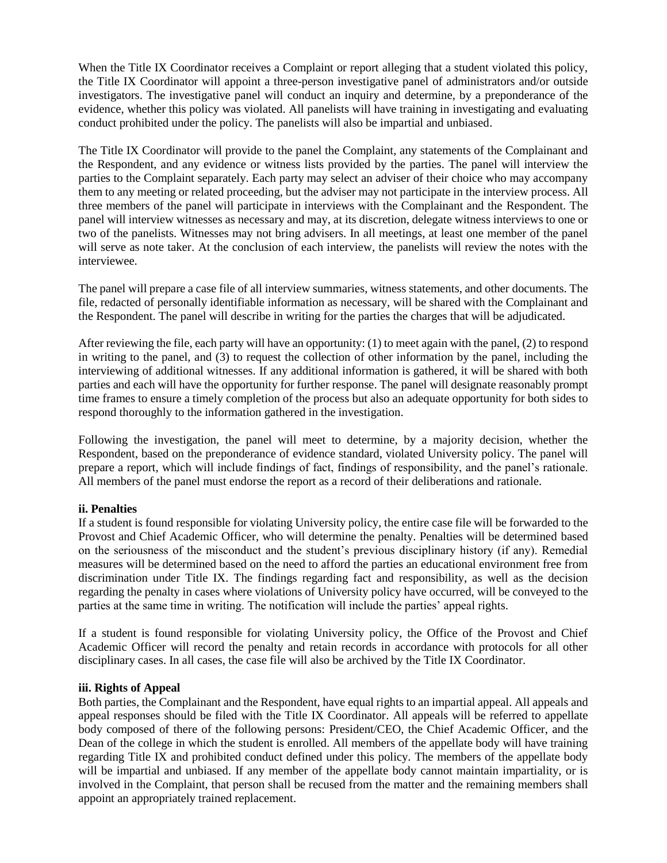When the Title IX Coordinator receives a Complaint or report alleging that a student violated this policy, the Title IX Coordinator will appoint a three-person investigative panel of administrators and/or outside investigators. The investigative panel will conduct an inquiry and determine, by a preponderance of the evidence, whether this policy was violated. All panelists will have training in investigating and evaluating conduct prohibited under the policy. The panelists will also be impartial and unbiased.

The Title IX Coordinator will provide to the panel the Complaint, any statements of the Complainant and the Respondent, and any evidence or witness lists provided by the parties. The panel will interview the parties to the Complaint separately. Each party may select an adviser of their choice who may accompany them to any meeting or related proceeding, but the adviser may not participate in the interview process. All three members of the panel will participate in interviews with the Complainant and the Respondent. The panel will interview witnesses as necessary and may, at its discretion, delegate witness interviews to one or two of the panelists. Witnesses may not bring advisers. In all meetings, at least one member of the panel will serve as note taker. At the conclusion of each interview, the panelists will review the notes with the interviewee.

The panel will prepare a case file of all interview summaries, witness statements, and other documents. The file, redacted of personally identifiable information as necessary, will be shared with the Complainant and the Respondent. The panel will describe in writing for the parties the charges that will be adjudicated.

After reviewing the file, each party will have an opportunity: (1) to meet again with the panel, (2) to respond in writing to the panel, and (3) to request the collection of other information by the panel, including the interviewing of additional witnesses. If any additional information is gathered, it will be shared with both parties and each will have the opportunity for further response. The panel will designate reasonably prompt time frames to ensure a timely completion of the process but also an adequate opportunity for both sides to respond thoroughly to the information gathered in the investigation.

Following the investigation, the panel will meet to determine, by a majority decision, whether the Respondent, based on the preponderance of evidence standard, violated University policy. The panel will prepare a report, which will include findings of fact, findings of responsibility, and the panel's rationale. All members of the panel must endorse the report as a record of their deliberations and rationale.

#### **ii. Penalties**

If a student is found responsible for violating University policy, the entire case file will be forwarded to the Provost and Chief Academic Officer, who will determine the penalty. Penalties will be determined based on the seriousness of the misconduct and the student's previous disciplinary history (if any). Remedial measures will be determined based on the need to afford the parties an educational environment free from discrimination under Title IX. The findings regarding fact and responsibility, as well as the decision regarding the penalty in cases where violations of University policy have occurred, will be conveyed to the parties at the same time in writing. The notification will include the parties' appeal rights.

If a student is found responsible for violating University policy, the Office of the Provost and Chief Academic Officer will record the penalty and retain records in accordance with protocols for all other disciplinary cases. In all cases, the case file will also be archived by the Title IX Coordinator.

#### **iii. Rights of Appeal**

Both parties, the Complainant and the Respondent, have equal rights to an impartial appeal. All appeals and appeal responses should be filed with the Title IX Coordinator. All appeals will be referred to appellate body composed of there of the following persons: President/CEO, the Chief Academic Officer, and the Dean of the college in which the student is enrolled. All members of the appellate body will have training regarding Title IX and prohibited conduct defined under this policy. The members of the appellate body will be impartial and unbiased. If any member of the appellate body cannot maintain impartiality, or is involved in the Complaint, that person shall be recused from the matter and the remaining members shall appoint an appropriately trained replacement.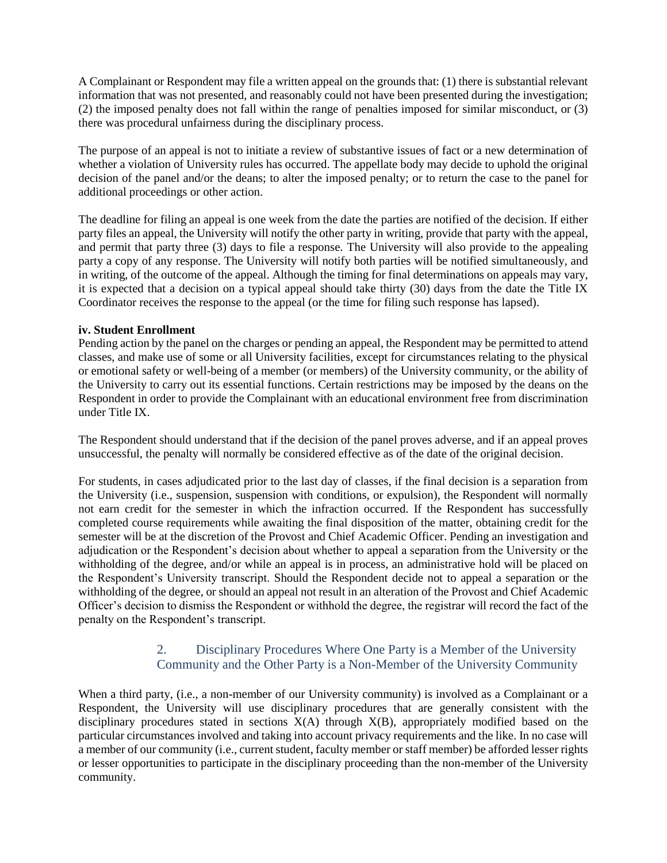A Complainant or Respondent may file a written appeal on the grounds that: (1) there is substantial relevant information that was not presented, and reasonably could not have been presented during the investigation; (2) the imposed penalty does not fall within the range of penalties imposed for similar misconduct, or (3) there was procedural unfairness during the disciplinary process.

The purpose of an appeal is not to initiate a review of substantive issues of fact or a new determination of whether a violation of University rules has occurred. The appellate body may decide to uphold the original decision of the panel and/or the deans; to alter the imposed penalty; or to return the case to the panel for additional proceedings or other action.

The deadline for filing an appeal is one week from the date the parties are notified of the decision. If either party files an appeal, the University will notify the other party in writing, provide that party with the appeal, and permit that party three (3) days to file a response. The University will also provide to the appealing party a copy of any response. The University will notify both parties will be notified simultaneously, and in writing, of the outcome of the appeal. Although the timing for final determinations on appeals may vary, it is expected that a decision on a typical appeal should take thirty (30) days from the date the Title IX Coordinator receives the response to the appeal (or the time for filing such response has lapsed).

#### **iv. Student Enrollment**

Pending action by the panel on the charges or pending an appeal, the Respondent may be permitted to attend classes, and make use of some or all University facilities, except for circumstances relating to the physical or emotional safety or well-being of a member (or members) of the University community, or the ability of the University to carry out its essential functions. Certain restrictions may be imposed by the deans on the Respondent in order to provide the Complainant with an educational environment free from discrimination under Title IX.

The Respondent should understand that if the decision of the panel proves adverse, and if an appeal proves unsuccessful, the penalty will normally be considered effective as of the date of the original decision.

For students, in cases adjudicated prior to the last day of classes, if the final decision is a separation from the University (i.e., suspension, suspension with conditions, or expulsion), the Respondent will normally not earn credit for the semester in which the infraction occurred. If the Respondent has successfully completed course requirements while awaiting the final disposition of the matter, obtaining credit for the semester will be at the discretion of the Provost and Chief Academic Officer. Pending an investigation and adjudication or the Respondent's decision about whether to appeal a separation from the University or the withholding of the degree, and/or while an appeal is in process, an administrative hold will be placed on the Respondent's University transcript. Should the Respondent decide not to appeal a separation or the withholding of the degree, or should an appeal not result in an alteration of the Provost and Chief Academic Officer's decision to dismiss the Respondent or withhold the degree, the registrar will record the fact of the penalty on the Respondent's transcript.

#### 2. Disciplinary Procedures Where One Party is a Member of the University Community and the Other Party is a Non-Member of the University Community

When a third party, (i.e., a non-member of our University community) is involved as a Complainant or a Respondent, the University will use disciplinary procedures that are generally consistent with the disciplinary procedures stated in sections  $X(A)$  through  $X(B)$ , appropriately modified based on the particular circumstances involved and taking into account privacy requirements and the like. In no case will a member of our community (i.e., current student, faculty member or staff member) be afforded lesser rights or lesser opportunities to participate in the disciplinary proceeding than the non-member of the University community.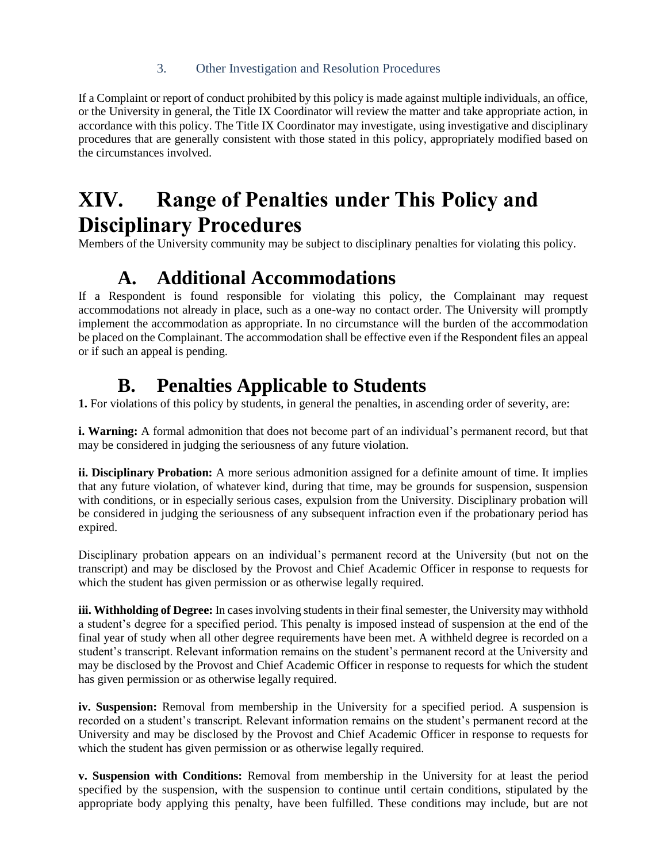#### 3. Other Investigation and Resolution Procedures

If a Complaint or report of conduct prohibited by this policy is made against multiple individuals, an office, or the University in general, the Title IX Coordinator will review the matter and take appropriate action, in accordance with this policy. The Title IX Coordinator may investigate, using investigative and disciplinary procedures that are generally consistent with those stated in this policy, appropriately modified based on the circumstances involved.

# **XIV. Range of Penalties under This Policy and Disciplinary Procedures**

Members of the University community may be subject to disciplinary penalties for violating this policy.

### **A. Additional Accommodations**

If a Respondent is found responsible for violating this policy, the Complainant may request accommodations not already in place, such as a one-way no contact order. The University will promptly implement the accommodation as appropriate. In no circumstance will the burden of the accommodation be placed on the Complainant. The accommodation shall be effective even if the Respondent files an appeal or if such an appeal is pending.

### **B. Penalties Applicable to Students**

1. For violations of this policy by students, in general the penalties, in ascending order of severity, are:

**i. Warning:** A formal admonition that does not become part of an individual's permanent record, but that may be considered in judging the seriousness of any future violation.

**ii. Disciplinary Probation:** A more serious admonition assigned for a definite amount of time. It implies that any future violation, of whatever kind, during that time, may be grounds for suspension, suspension with conditions, or in especially serious cases, expulsion from the University. Disciplinary probation will be considered in judging the seriousness of any subsequent infraction even if the probationary period has expired.

Disciplinary probation appears on an individual's permanent record at the University (but not on the transcript) and may be disclosed by the Provost and Chief Academic Officer in response to requests for which the student has given permission or as otherwise legally required.

**iii. Withholding of Degree:** In cases involving students in their final semester, the University may withhold a student's degree for a specified period. This penalty is imposed instead of suspension at the end of the final year of study when all other degree requirements have been met. A withheld degree is recorded on a student's transcript. Relevant information remains on the student's permanent record at the University and may be disclosed by the Provost and Chief Academic Officer in response to requests for which the student has given permission or as otherwise legally required.

**iv. Suspension:** Removal from membership in the University for a specified period. A suspension is recorded on a student's transcript. Relevant information remains on the student's permanent record at the University and may be disclosed by the Provost and Chief Academic Officer in response to requests for which the student has given permission or as otherwise legally required.

**v. Suspension with Conditions:** Removal from membership in the University for at least the period specified by the suspension, with the suspension to continue until certain conditions, stipulated by the appropriate body applying this penalty, have been fulfilled. These conditions may include, but are not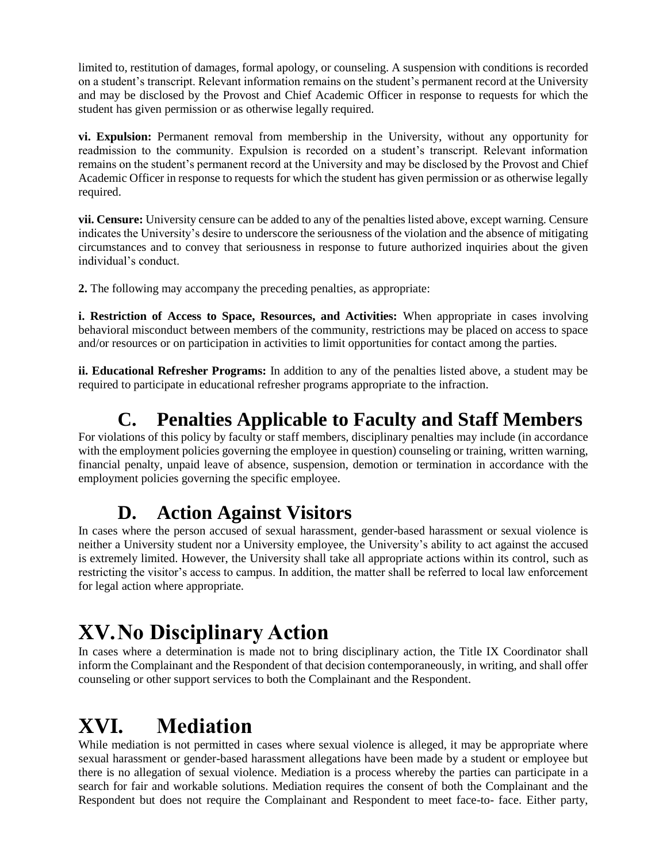limited to, restitution of damages, formal apology, or counseling. A suspension with conditions is recorded on a student's transcript. Relevant information remains on the student's permanent record at the University and may be disclosed by the Provost and Chief Academic Officer in response to requests for which the student has given permission or as otherwise legally required.

**vi. Expulsion:** Permanent removal from membership in the University, without any opportunity for readmission to the community. Expulsion is recorded on a student's transcript. Relevant information remains on the student's permanent record at the University and may be disclosed by the Provost and Chief Academic Officer in response to requests for which the student has given permission or as otherwise legally required.

**vii. Censure:** University censure can be added to any of the penalties listed above, except warning. Censure indicates the University's desire to underscore the seriousness of the violation and the absence of mitigating circumstances and to convey that seriousness in response to future authorized inquiries about the given individual's conduct.

**2.** The following may accompany the preceding penalties, as appropriate:

**i. Restriction of Access to Space, Resources, and Activities:** When appropriate in cases involving behavioral misconduct between members of the community, restrictions may be placed on access to space and/or resources or on participation in activities to limit opportunities for contact among the parties.

**ii. Educational Refresher Programs:** In addition to any of the penalties listed above, a student may be required to participate in educational refresher programs appropriate to the infraction.

## **C. Penalties Applicable to Faculty and Staff Members**

For violations of this policy by faculty or staff members, disciplinary penalties may include (in accordance with the employment policies governing the employee in question) counseling or training, written warning, financial penalty, unpaid leave of absence, suspension, demotion or termination in accordance with the employment policies governing the specific employee.

#### **D. Action Against Visitors**

In cases where the person accused of sexual harassment, gender-based harassment or sexual violence is neither a University student nor a University employee, the University's ability to act against the accused is extremely limited. However, the University shall take all appropriate actions within its control, such as restricting the visitor's access to campus. In addition, the matter shall be referred to local law enforcement for legal action where appropriate.

# **XV.No Disciplinary Action**

In cases where a determination is made not to bring disciplinary action, the Title IX Coordinator shall inform the Complainant and the Respondent of that decision contemporaneously, in writing, and shall offer counseling or other support services to both the Complainant and the Respondent.

# **XVI. Mediation**

While mediation is not permitted in cases where sexual violence is alleged, it may be appropriate where sexual harassment or gender-based harassment allegations have been made by a student or employee but there is no allegation of sexual violence. Mediation is a process whereby the parties can participate in a search for fair and workable solutions. Mediation requires the consent of both the Complainant and the Respondent but does not require the Complainant and Respondent to meet face-to- face. Either party,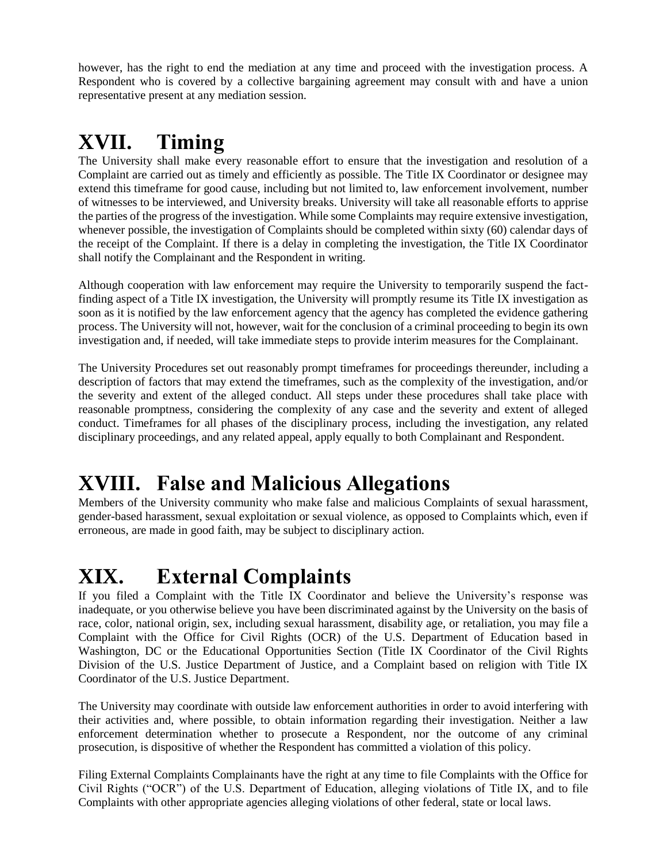however, has the right to end the mediation at any time and proceed with the investigation process. A Respondent who is covered by a collective bargaining agreement may consult with and have a union representative present at any mediation session.

# **XVII. Timing**

The University shall make every reasonable effort to ensure that the investigation and resolution of a Complaint are carried out as timely and efficiently as possible. The Title IX Coordinator or designee may extend this timeframe for good cause, including but not limited to, law enforcement involvement, number of witnesses to be interviewed, and University breaks. University will take all reasonable efforts to apprise the parties of the progress of the investigation. While some Complaints may require extensive investigation, whenever possible, the investigation of Complaints should be completed within sixty (60) calendar days of the receipt of the Complaint. If there is a delay in completing the investigation, the Title IX Coordinator shall notify the Complainant and the Respondent in writing.

Although cooperation with law enforcement may require the University to temporarily suspend the factfinding aspect of a Title IX investigation, the University will promptly resume its Title IX investigation as soon as it is notified by the law enforcement agency that the agency has completed the evidence gathering process. The University will not, however, wait for the conclusion of a criminal proceeding to begin its own investigation and, if needed, will take immediate steps to provide interim measures for the Complainant.

The University Procedures set out reasonably prompt timeframes for proceedings thereunder, including a description of factors that may extend the timeframes, such as the complexity of the investigation, and/or the severity and extent of the alleged conduct. All steps under these procedures shall take place with reasonable promptness, considering the complexity of any case and the severity and extent of alleged conduct. Timeframes for all phases of the disciplinary process, including the investigation, any related disciplinary proceedings, and any related appeal, apply equally to both Complainant and Respondent.

# **XVIII. False and Malicious Allegations**

Members of the University community who make false and malicious Complaints of sexual harassment, gender-based harassment, sexual exploitation or sexual violence, as opposed to Complaints which, even if erroneous, are made in good faith, may be subject to disciplinary action.

# **XIX. External Complaints**

If you filed a Complaint with the Title IX Coordinator and believe the University's response was inadequate, or you otherwise believe you have been discriminated against by the University on the basis of race, color, national origin, sex, including sexual harassment, disability age, or retaliation, you may file a Complaint with the Office for Civil Rights (OCR) of the U.S. Department of Education based in Washington, DC or the Educational Opportunities Section (Title IX Coordinator of the Civil Rights Division of the U.S. Justice Department of Justice, and a Complaint based on religion with Title IX Coordinator of the U.S. Justice Department.

The University may coordinate with outside law enforcement authorities in order to avoid interfering with their activities and, where possible, to obtain information regarding their investigation. Neither a law enforcement determination whether to prosecute a Respondent, nor the outcome of any criminal prosecution, is dispositive of whether the Respondent has committed a violation of this policy.

Filing External Complaints Complainants have the right at any time to file Complaints with the Office for Civil Rights ("OCR") of the U.S. Department of Education, alleging violations of Title IX, and to file Complaints with other appropriate agencies alleging violations of other federal, state or local laws.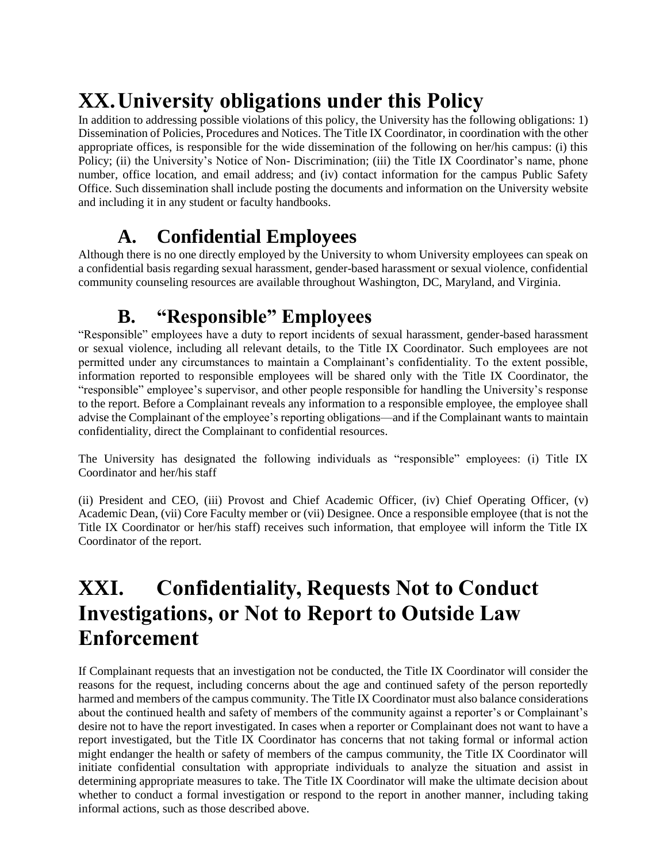# **XX.University obligations under this Policy**

In addition to addressing possible violations of this policy, the University has the following obligations: 1) Dissemination of Policies, Procedures and Notices. The Title IX Coordinator, in coordination with the other appropriate offices, is responsible for the wide dissemination of the following on her/his campus: (i) this Policy; (ii) the University's Notice of Non-Discrimination; (iii) the Title IX Coordinator's name, phone number, office location, and email address; and (iv) contact information for the campus Public Safety Office. Such dissemination shall include posting the documents and information on the University website and including it in any student or faculty handbooks.

## **A. Confidential Employees**

Although there is no one directly employed by the University to whom University employees can speak on a confidential basis regarding sexual harassment, gender-based harassment or sexual violence, confidential community counseling resources are available throughout Washington, DC, Maryland, and Virginia.

## **B. "Responsible" Employees**

"Responsible" employees have a duty to report incidents of sexual harassment, gender-based harassment or sexual violence, including all relevant details, to the Title IX Coordinator. Such employees are not permitted under any circumstances to maintain a Complainant's confidentiality. To the extent possible, information reported to responsible employees will be shared only with the Title IX Coordinator, the "responsible" employee's supervisor, and other people responsible for handling the University's response to the report. Before a Complainant reveals any information to a responsible employee, the employee shall advise the Complainant of the employee's reporting obligations—and if the Complainant wants to maintain confidentiality, direct the Complainant to confidential resources.

The University has designated the following individuals as "responsible" employees: (i) Title IX Coordinator and her/his staff

(ii) President and CEO, (iii) Provost and Chief Academic Officer, (iv) Chief Operating Officer, (v) Academic Dean, (vii) Core Faculty member or (vii) Designee. Once a responsible employee (that is not the Title IX Coordinator or her/his staff) receives such information, that employee will inform the Title IX Coordinator of the report.

## **XXI. Confidentiality, Requests Not to Conduct Investigations, or Not to Report to Outside Law Enforcement**

If Complainant requests that an investigation not be conducted, the Title IX Coordinator will consider the reasons for the request, including concerns about the age and continued safety of the person reportedly harmed and members of the campus community. The Title IX Coordinator must also balance considerations about the continued health and safety of members of the community against a reporter's or Complainant's desire not to have the report investigated. In cases when a reporter or Complainant does not want to have a report investigated, but the Title IX Coordinator has concerns that not taking formal or informal action might endanger the health or safety of members of the campus community, the Title IX Coordinator will initiate confidential consultation with appropriate individuals to analyze the situation and assist in determining appropriate measures to take. The Title IX Coordinator will make the ultimate decision about whether to conduct a formal investigation or respond to the report in another manner, including taking informal actions, such as those described above.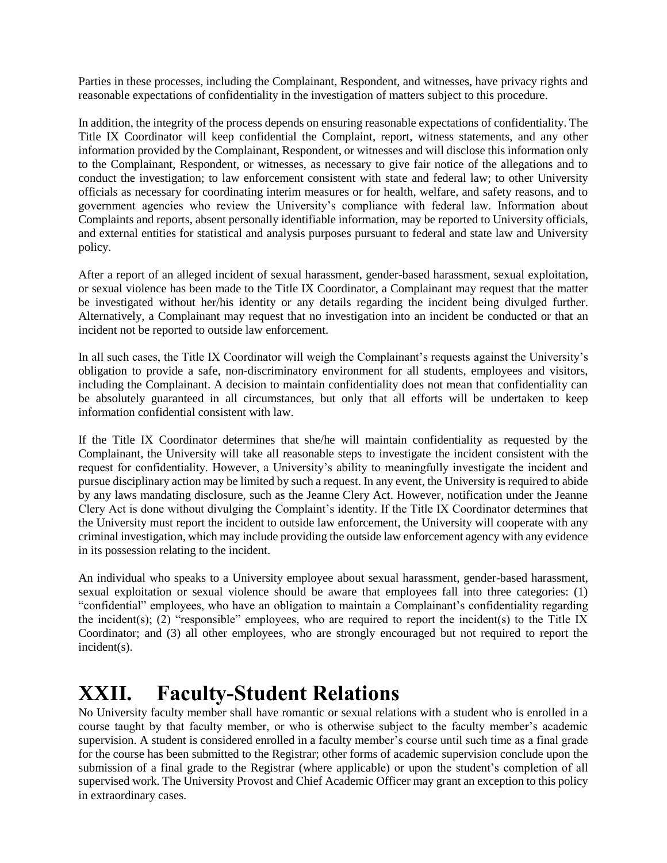Parties in these processes, including the Complainant, Respondent, and witnesses, have privacy rights and reasonable expectations of confidentiality in the investigation of matters subject to this procedure.

In addition, the integrity of the process depends on ensuring reasonable expectations of confidentiality. The Title IX Coordinator will keep confidential the Complaint, report, witness statements, and any other information provided by the Complainant, Respondent, or witnesses and will disclose this information only to the Complainant, Respondent, or witnesses, as necessary to give fair notice of the allegations and to conduct the investigation; to law enforcement consistent with state and federal law; to other University officials as necessary for coordinating interim measures or for health, welfare, and safety reasons, and to government agencies who review the University's compliance with federal law. Information about Complaints and reports, absent personally identifiable information, may be reported to University officials, and external entities for statistical and analysis purposes pursuant to federal and state law and University policy.

After a report of an alleged incident of sexual harassment, gender-based harassment, sexual exploitation, or sexual violence has been made to the Title IX Coordinator, a Complainant may request that the matter be investigated without her/his identity or any details regarding the incident being divulged further. Alternatively, a Complainant may request that no investigation into an incident be conducted or that an incident not be reported to outside law enforcement.

In all such cases, the Title IX Coordinator will weigh the Complainant's requests against the University's obligation to provide a safe, non-discriminatory environment for all students, employees and visitors, including the Complainant. A decision to maintain confidentiality does not mean that confidentiality can be absolutely guaranteed in all circumstances, but only that all efforts will be undertaken to keep information confidential consistent with law.

If the Title IX Coordinator determines that she/he will maintain confidentiality as requested by the Complainant, the University will take all reasonable steps to investigate the incident consistent with the request for confidentiality. However, a University's ability to meaningfully investigate the incident and pursue disciplinary action may be limited by such a request. In any event, the University is required to abide by any laws mandating disclosure, such as the Jeanne Clery Act. However, notification under the Jeanne Clery Act is done without divulging the Complaint's identity. If the Title IX Coordinator determines that the University must report the incident to outside law enforcement, the University will cooperate with any criminal investigation, which may include providing the outside law enforcement agency with any evidence in its possession relating to the incident.

An individual who speaks to a University employee about sexual harassment, gender-based harassment, sexual exploitation or sexual violence should be aware that employees fall into three categories: (1) "confidential" employees, who have an obligation to maintain a Complainant's confidentiality regarding the incident(s); (2) "responsible" employees, who are required to report the incident(s) to the Title IX Coordinator; and (3) all other employees, who are strongly encouraged but not required to report the incident(s).

## **XXII. Faculty-Student Relations**

No University faculty member shall have romantic or sexual relations with a student who is enrolled in a course taught by that faculty member, or who is otherwise subject to the faculty member's academic supervision. A student is considered enrolled in a faculty member's course until such time as a final grade for the course has been submitted to the Registrar; other forms of academic supervision conclude upon the submission of a final grade to the Registrar (where applicable) or upon the student's completion of all supervised work. The University Provost and Chief Academic Officer may grant an exception to this policy in extraordinary cases.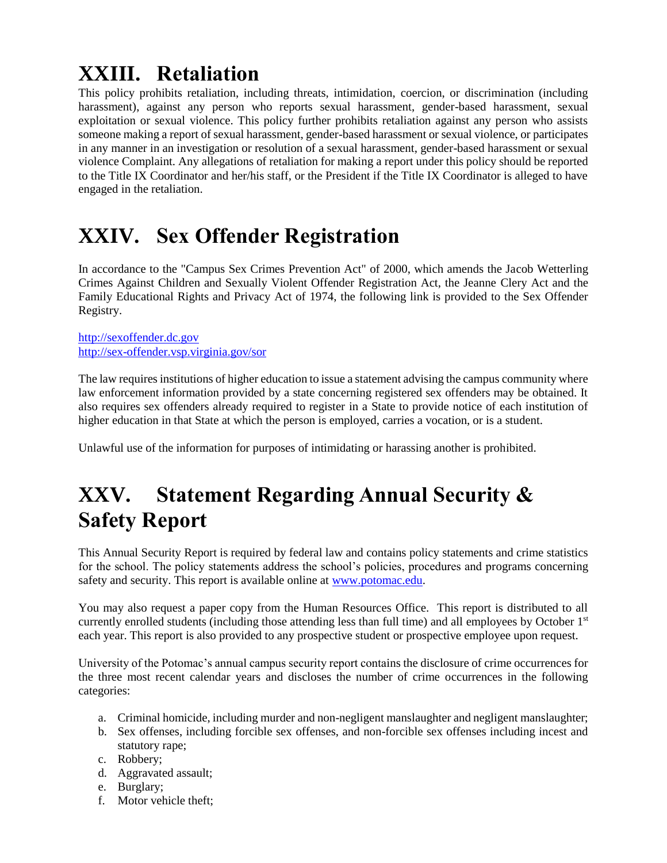# **XXIII. Retaliation**

This policy prohibits retaliation, including threats, intimidation, coercion, or discrimination (including harassment), against any person who reports sexual harassment, gender-based harassment, sexual exploitation or sexual violence. This policy further prohibits retaliation against any person who assists someone making a report of sexual harassment, gender-based harassment or sexual violence, or participates in any manner in an investigation or resolution of a sexual harassment, gender-based harassment or sexual violence Complaint. Any allegations of retaliation for making a report under this policy should be reported to the Title IX Coordinator and her/his staff, or the President if the Title IX Coordinator is alleged to have engaged in the retaliation.

# **XXIV. Sex Offender Registration**

In accordance to the "Campus Sex Crimes Prevention Act" of 2000, which amends the Jacob Wetterling Crimes Against Children and Sexually Violent Offender Registration Act, the Jeanne Clery Act and the Family Educational Rights and Privacy Act of 1974, the following link is provided to the Sex Offender Registry.

[http://sexoffender.dc.gov](http://sexoffender.dc.gov/) <http://sex-offender.vsp.virginia.gov/sor>

The law requires institutions of higher education to issue a statement advising the campus community where law enforcement information provided by a state concerning registered sex offenders may be obtained. It also requires sex offenders already required to register in a State to provide notice of each institution of higher education in that State at which the person is employed, carries a vocation, or is a student.

Unlawful use of the information for purposes of intimidating or harassing another is prohibited.

# **XXV. Statement Regarding Annual Security & Safety Report**

This Annual Security Report is required by federal law and contains policy statements and crime statistics for the school. The policy statements address the school's policies, procedures and programs concerning safety and security. This report is available online at [www.potomac.edu.](http://www.potomac.edu/)

You may also request a paper copy from the Human Resources Office. This report is distributed to all currently enrolled students (including those attending less than full time) and all employees by October 1<sup>st</sup> each year. This report is also provided to any prospective student or prospective employee upon request.

University of the Potomac's annual campus security report contains the disclosure of crime occurrences for the three most recent calendar years and discloses the number of crime occurrences in the following categories:

- a. Criminal homicide, including murder and non-negligent manslaughter and negligent manslaughter;
- b. Sex offenses, including forcible sex offenses, and non-forcible sex offenses including incest and statutory rape;
- c. Robbery;
- d. Aggravated assault;
- e. Burglary;
- f. Motor vehicle theft;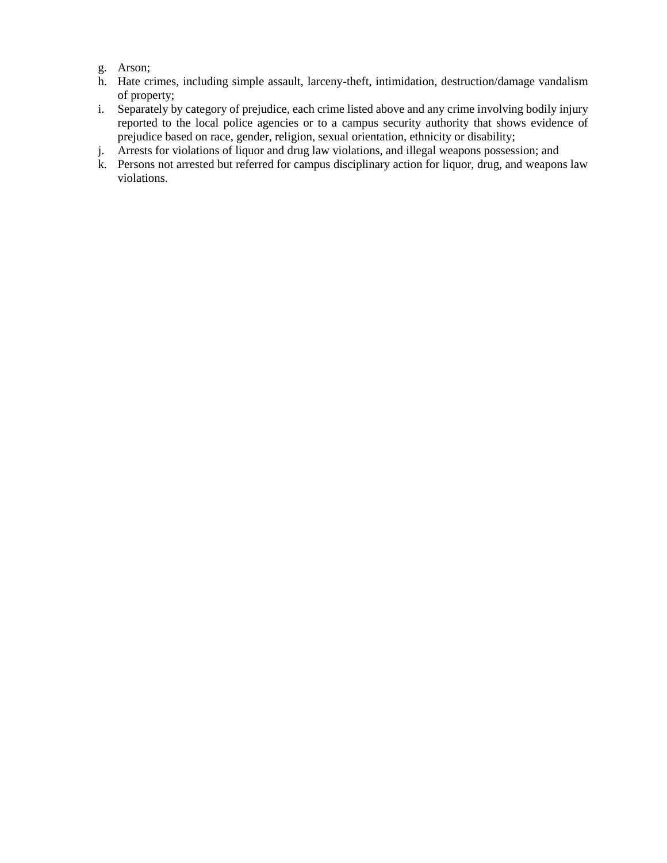- g. Arson;
- h. Hate crimes, including simple assault, larceny-theft, intimidation, destruction/damage vandalism of property;
- i. Separately by category of prejudice, each crime listed above and any crime involving bodily injury reported to the local police agencies or to a campus security authority that shows evidence of prejudice based on race, gender, religion, sexual orientation, ethnicity or disability;
- j. Arrests for violations of liquor and drug law violations, and illegal weapons possession; and
- k. Persons not arrested but referred for campus disciplinary action for liquor, drug, and weapons law violations.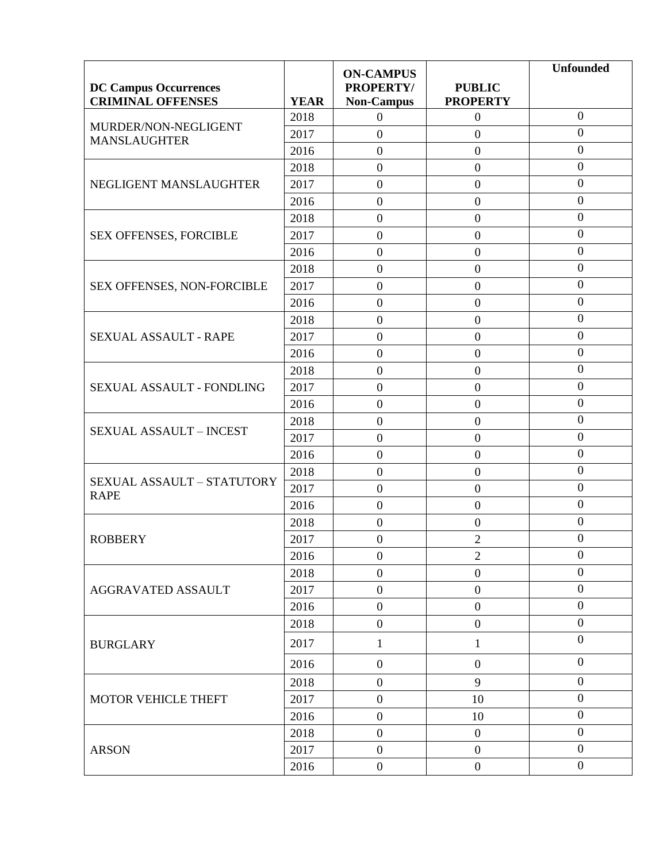|                                                          |             | <b>ON-CAMPUS</b>               |                                  | <b>Unfounded</b> |
|----------------------------------------------------------|-------------|--------------------------------|----------------------------------|------------------|
| <b>DC Campus Occurrences</b><br><b>CRIMINAL OFFENSES</b> | <b>YEAR</b> | PROPERTY/<br><b>Non-Campus</b> | <b>PUBLIC</b><br><b>PROPERTY</b> |                  |
|                                                          | 2018        | $\boldsymbol{0}$               | $\boldsymbol{0}$                 | $\boldsymbol{0}$ |
| MURDER/NON-NEGLIGENT                                     | 2017        | $\boldsymbol{0}$               | $\boldsymbol{0}$                 | $\boldsymbol{0}$ |
| <b>MANSLAUGHTER</b>                                      | 2016        | $\boldsymbol{0}$               | $\overline{0}$                   | $\overline{0}$   |
|                                                          | 2018        | $\boldsymbol{0}$               | $\boldsymbol{0}$                 | $\boldsymbol{0}$ |
| NEGLIGENT MANSLAUGHTER                                   | 2017        | $\boldsymbol{0}$               | $\boldsymbol{0}$                 | $\overline{0}$   |
|                                                          | 2016        | $\boldsymbol{0}$               | $\boldsymbol{0}$                 | $\boldsymbol{0}$ |
|                                                          | 2018        | $\boldsymbol{0}$               | $\boldsymbol{0}$                 | $\boldsymbol{0}$ |
| SEX OFFENSES, FORCIBLE                                   | 2017        | $\boldsymbol{0}$               | $\overline{0}$                   | $\overline{0}$   |
|                                                          | 2016        | $\boldsymbol{0}$               | $\boldsymbol{0}$                 | $\boldsymbol{0}$ |
|                                                          | 2018        | $\boldsymbol{0}$               | $\boldsymbol{0}$                 | $\mathbf{0}$     |
| SEX OFFENSES, NON-FORCIBLE                               | 2017        | $\boldsymbol{0}$               | $\boldsymbol{0}$                 | $\mathbf{0}$     |
|                                                          | 2016        | $\boldsymbol{0}$               | $\overline{0}$                   | $\mathbf{0}$     |
|                                                          | 2018        | $\boldsymbol{0}$               | $\overline{0}$                   | $\boldsymbol{0}$ |
| SEXUAL ASSAULT - RAPE                                    | 2017        | $\boldsymbol{0}$               | $\boldsymbol{0}$                 | $\boldsymbol{0}$ |
|                                                          | 2016        | $\boldsymbol{0}$               | $\overline{0}$                   | $\overline{0}$   |
|                                                          | 2018        | $\boldsymbol{0}$               | $\boldsymbol{0}$                 | $\boldsymbol{0}$ |
| SEXUAL ASSAULT - FONDLING                                | 2017        | $\boldsymbol{0}$               | $\boldsymbol{0}$                 | $\overline{0}$   |
|                                                          | 2016        | $\boldsymbol{0}$               | $\overline{0}$                   | $\boldsymbol{0}$ |
|                                                          | 2018        | $\boldsymbol{0}$               | $\boldsymbol{0}$                 | $\boldsymbol{0}$ |
| <b>SEXUAL ASSAULT - INCEST</b>                           | 2017        | $\boldsymbol{0}$               | $\overline{0}$                   | $\mathbf{0}$     |
|                                                          | 2016        | $\boldsymbol{0}$               | $\boldsymbol{0}$                 | $\boldsymbol{0}$ |
|                                                          | 2018        | $\boldsymbol{0}$               | $\boldsymbol{0}$                 | $\mathbf{0}$     |
| SEXUAL ASSAULT - STATUTORY<br><b>RAPE</b>                | 2017        | $\boldsymbol{0}$               | $\boldsymbol{0}$                 | $\mathbf{0}$     |
|                                                          | 2016        | $\boldsymbol{0}$               | $\overline{0}$                   | $\overline{0}$   |
|                                                          | 2018        | $\boldsymbol{0}$               | $\boldsymbol{0}$                 | $\boldsymbol{0}$ |
| <b>ROBBERY</b>                                           | 2017        | $\boldsymbol{0}$               | $\overline{2}$                   | $\mathbf{0}$     |
|                                                          | 2016        | $\boldsymbol{0}$               | $\overline{2}$                   | $\mathbf{0}$     |
|                                                          | 2018        | $\boldsymbol{0}$               | $\boldsymbol{0}$                 | $\mathbf{0}$     |
| <b>AGGRAVATED ASSAULT</b>                                | 2017        | $\boldsymbol{0}$               | $\boldsymbol{0}$                 | $\boldsymbol{0}$ |
|                                                          | 2016        | $\boldsymbol{0}$               | $\overline{0}$                   | $\boldsymbol{0}$ |
|                                                          | 2018        | $\boldsymbol{0}$               | $\boldsymbol{0}$                 | $\boldsymbol{0}$ |
| <b>BURGLARY</b>                                          | 2017        | $\mathbf{1}$                   | $\mathbf{1}$                     | $\overline{0}$   |
|                                                          | 2016        | $\boldsymbol{0}$               | $\boldsymbol{0}$                 | $\mathbf{0}$     |
|                                                          | 2018        | $\boldsymbol{0}$               | 9                                | $\overline{0}$   |
| MOTOR VEHICLE THEFT                                      | 2017        | $\overline{0}$                 | 10                               | $\overline{0}$   |
|                                                          | 2016        | $\boldsymbol{0}$               | 10                               | $\boldsymbol{0}$ |
|                                                          | 2018        | $\boldsymbol{0}$               | $\boldsymbol{0}$                 | $\boldsymbol{0}$ |
| <b>ARSON</b>                                             | 2017        | $\boldsymbol{0}$               | $\boldsymbol{0}$                 | $\overline{0}$   |
|                                                          | 2016        | $\boldsymbol{0}$               | $\overline{0}$                   | $\boldsymbol{0}$ |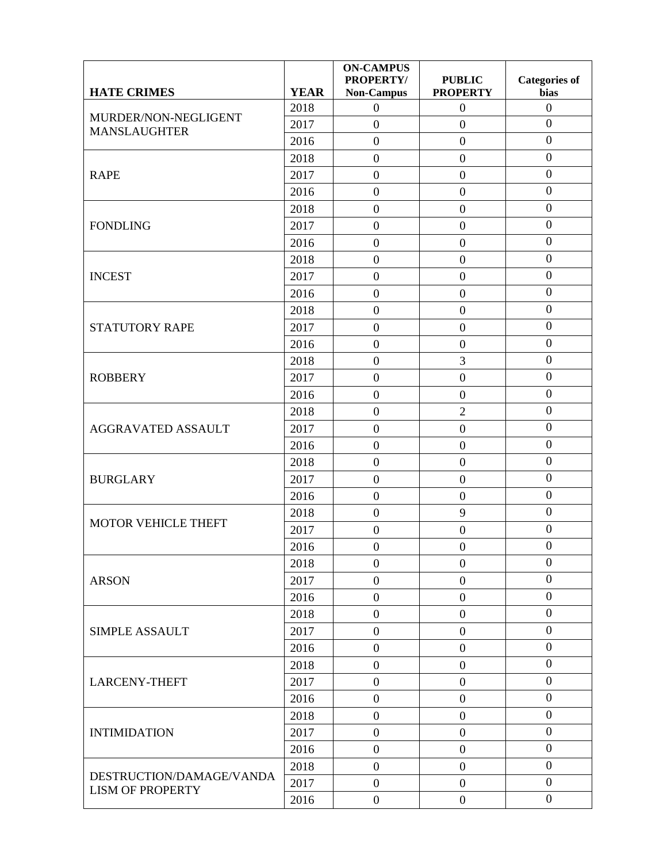| <b>HATE CRIMES</b>                                  | <b>YEAR</b> | <b>ON-CAMPUS</b><br><b>PROPERTY/</b><br><b>Non-Campus</b> | <b>PUBLIC</b><br><b>PROPERTY</b> | <b>Categories of</b><br>bias |
|-----------------------------------------------------|-------------|-----------------------------------------------------------|----------------------------------|------------------------------|
|                                                     | 2018        | $\boldsymbol{0}$                                          | $\overline{0}$                   | $\mathbf{0}$                 |
| MURDER/NON-NEGLIGENT<br><b>MANSLAUGHTER</b>         | 2017        | $\overline{0}$                                            | $\boldsymbol{0}$                 | $\overline{0}$               |
|                                                     | 2016        | $\boldsymbol{0}$                                          | $\boldsymbol{0}$                 | $\mathbf{0}$                 |
|                                                     | 2018        | $\boldsymbol{0}$                                          | $\boldsymbol{0}$                 | $\mathbf{0}$                 |
| <b>RAPE</b>                                         | 2017        | $\boldsymbol{0}$                                          | $\boldsymbol{0}$                 | $\mathbf{0}$                 |
|                                                     | 2016        | $\overline{0}$                                            | $\boldsymbol{0}$                 | $\overline{0}$               |
|                                                     | 2018        | $\boldsymbol{0}$                                          | $\mathbf{0}$                     | $\boldsymbol{0}$             |
| <b>FONDLING</b>                                     | 2017        | $\boldsymbol{0}$                                          | $\boldsymbol{0}$                 | $\boldsymbol{0}$             |
|                                                     | 2016        | $\boldsymbol{0}$                                          | $\boldsymbol{0}$                 | $\boldsymbol{0}$             |
|                                                     | 2018        | $\boldsymbol{0}$                                          | $\boldsymbol{0}$                 | $\boldsymbol{0}$             |
| <b>INCEST</b>                                       | 2017        | $\overline{0}$                                            | $\boldsymbol{0}$                 | $\overline{0}$               |
|                                                     | 2016        | $\boldsymbol{0}$                                          | $\boldsymbol{0}$                 | $\boldsymbol{0}$             |
|                                                     | 2018        | $\boldsymbol{0}$                                          | $\boldsymbol{0}$                 | $\boldsymbol{0}$             |
| <b>STATUTORY RAPE</b>                               | 2017        | $\overline{0}$                                            | $\mathbf{0}$                     | $\boldsymbol{0}$             |
|                                                     | 2016        | $\boldsymbol{0}$                                          | $\boldsymbol{0}$                 | $\boldsymbol{0}$             |
| <b>ROBBERY</b>                                      | 2018        | $\boldsymbol{0}$                                          | 3                                | $\boldsymbol{0}$             |
|                                                     | 2017        | $\overline{0}$                                            | $\boldsymbol{0}$                 | $\mathbf{0}$                 |
|                                                     | 2016        | $\boldsymbol{0}$                                          | $\boldsymbol{0}$                 | $\overline{0}$               |
|                                                     | 2018        | $\boldsymbol{0}$                                          | $\overline{2}$                   | $\boldsymbol{0}$             |
| <b>AGGRAVATED ASSAULT</b>                           | 2017        | $\boldsymbol{0}$                                          | $\boldsymbol{0}$                 | $\mathbf{0}$                 |
|                                                     | 2016        | $\boldsymbol{0}$                                          | $\boldsymbol{0}$                 | $\mathbf{0}$                 |
|                                                     | 2018        | $\boldsymbol{0}$                                          | $\boldsymbol{0}$                 | $\boldsymbol{0}$             |
| <b>BURGLARY</b>                                     | 2017        | $\boldsymbol{0}$                                          | $\boldsymbol{0}$                 | $\boldsymbol{0}$             |
|                                                     | 2016        | $\overline{0}$                                            | $\boldsymbol{0}$                 | $\mathbf{0}$                 |
| <b>MOTOR VEHICLE THEFT</b>                          | 2018        | $\boldsymbol{0}$                                          | 9                                | $\boldsymbol{0}$             |
|                                                     | 2017        | $\boldsymbol{0}$                                          | $\boldsymbol{0}$                 | $\mathbf{0}$                 |
|                                                     | 2016        | $\boldsymbol{0}$                                          | $\boldsymbol{0}$                 | $\overline{0}$               |
|                                                     | 2018        | $\boldsymbol{0}$                                          | $\boldsymbol{0}$                 | $\mathbf{0}$                 |
| <b>ARSON</b>                                        | 2017        | $\boldsymbol{0}$                                          | $\boldsymbol{0}$                 | $\boldsymbol{0}$             |
|                                                     | 2016        | $\overline{0}$                                            | $\overline{0}$                   | $\boldsymbol{0}$             |
|                                                     | 2018        | $\boldsymbol{0}$                                          | $\boldsymbol{0}$                 | $\boldsymbol{0}$             |
| <b>SIMPLE ASSAULT</b>                               | 2017        | $\boldsymbol{0}$                                          | $\boldsymbol{0}$                 | $\boldsymbol{0}$             |
|                                                     | 2016        | $\overline{0}$                                            | $\boldsymbol{0}$                 | $\overline{0}$               |
|                                                     | 2018        | $\boldsymbol{0}$                                          | $\boldsymbol{0}$                 | $\boldsymbol{0}$             |
| <b>LARCENY-THEFT</b>                                | 2017        | $\boldsymbol{0}$                                          | $\boldsymbol{0}$                 | $\boldsymbol{0}$             |
|                                                     | 2016        | $\overline{0}$                                            | $\overline{0}$                   | $\boldsymbol{0}$             |
|                                                     | 2018        | $\boldsymbol{0}$                                          | $\boldsymbol{0}$                 | $\boldsymbol{0}$             |
| <b>INTIMIDATION</b>                                 | 2017        | $\boldsymbol{0}$                                          | $\boldsymbol{0}$                 | $\mathbf{0}$                 |
|                                                     | 2016        | $\boldsymbol{0}$                                          | $\boldsymbol{0}$                 | $\boldsymbol{0}$             |
|                                                     | 2018        | $\overline{0}$                                            | $\boldsymbol{0}$                 | $\overline{0}$               |
| DESTRUCTION/DAMAGE/VANDA<br><b>LISM OF PROPERTY</b> | 2017        | $\boldsymbol{0}$                                          | $\boldsymbol{0}$                 | $\boldsymbol{0}$             |
|                                                     | 2016        | $\boldsymbol{0}$                                          | $\overline{0}$                   | $\overline{0}$               |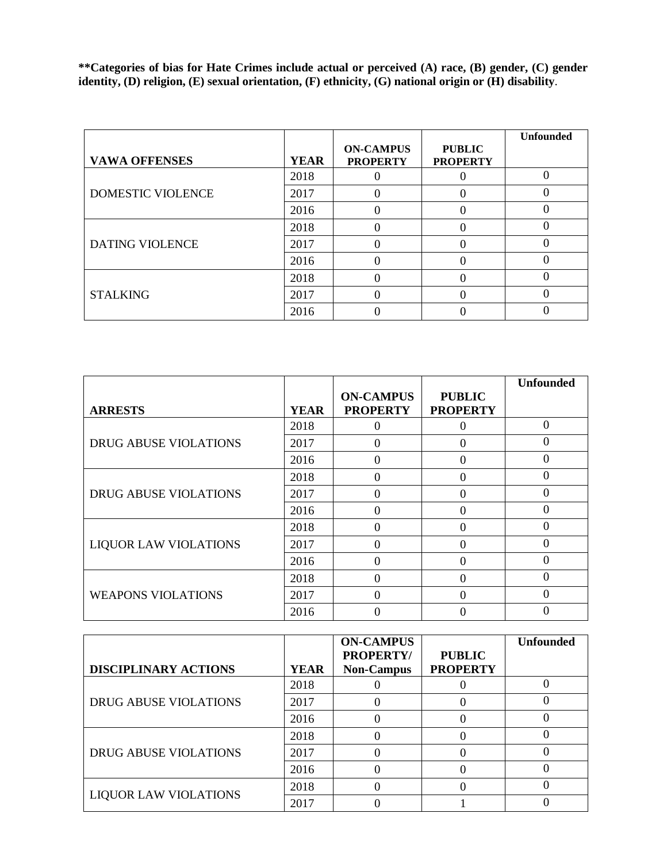**\*\*Categories of bias for Hate Crimes include actual or perceived (A) race, (B) gender, (C) gender identity, (D) religion, (E) sexual orientation, (F) ethnicity, (G) national origin or (H) disability**.

| <b>VAWA OFFENSES</b>   | <b>YEAR</b> | <b>ON-CAMPUS</b><br><b>PROPERTY</b> | <b>PUBLIC</b><br><b>PROPERTY</b> | <b>Unfounded</b> |
|------------------------|-------------|-------------------------------------|----------------------------------|------------------|
|                        | 2018        |                                     |                                  |                  |
| DOMESTIC VIOLENCE      | 2017        |                                     |                                  |                  |
|                        | 2016        |                                     |                                  |                  |
|                        | 2018        |                                     |                                  |                  |
| <b>DATING VIOLENCE</b> | 2017        |                                     |                                  |                  |
|                        | 2016        |                                     |                                  |                  |
|                        | 2018        |                                     |                                  |                  |
| <b>STALKING</b>        | 2017        |                                     |                                  |                  |
|                        | 2016        |                                     |                                  |                  |

|                              |             |                                     |                                  | <b>Unfounded</b> |
|------------------------------|-------------|-------------------------------------|----------------------------------|------------------|
| <b>ARRESTS</b>               | <b>YEAR</b> | <b>ON-CAMPUS</b><br><b>PROPERTY</b> | <b>PUBLIC</b><br><b>PROPERTY</b> |                  |
|                              | 2018        | 0                                   | 0                                | $\theta$         |
| DRUG ABUSE VIOLATIONS        | 2017        | 0                                   | 0                                | 0                |
|                              | 2016        | 0                                   | 0                                | 0                |
|                              | 2018        | 0                                   | 0                                | 0                |
| <b>DRUG ABUSE VIOLATIONS</b> | 2017        | 0                                   | $\theta$                         | 0                |
|                              | 2016        | 0                                   | 0                                |                  |
|                              | 2018        | 0                                   | $\theta$                         | 0                |
| <b>LIQUOR LAW VIOLATIONS</b> | 2017        | 0                                   | 0                                | 0                |
|                              | 2016        | 0                                   | $\theta$                         | 0                |
|                              | 2018        | 0                                   | 0                                | 0                |
| <b>WEAPONS VIOLATIONS</b>    | 2017        | 0                                   | 0                                | 0                |
|                              | 2016        |                                     |                                  |                  |

|                              |             | <b>ON-CAMPUS</b>               |                                  | <b>Unfounded</b> |
|------------------------------|-------------|--------------------------------|----------------------------------|------------------|
| <b>DISCIPLINARY ACTIONS</b>  | <b>YEAR</b> | PROPERTY/<br><b>Non-Campus</b> | <b>PUBLIC</b><br><b>PROPERTY</b> |                  |
|                              | 2018        |                                |                                  |                  |
| <b>DRUG ABUSE VIOLATIONS</b> | 2017        |                                |                                  |                  |
|                              | 2016        |                                |                                  |                  |
|                              | 2018        |                                |                                  |                  |
| <b>DRUG ABUSE VIOLATIONS</b> | 2017        |                                |                                  |                  |
|                              | 2016        |                                |                                  |                  |
| <b>LIQUOR LAW VIOLATIONS</b> | 2018        |                                |                                  |                  |
|                              | 2017        |                                |                                  |                  |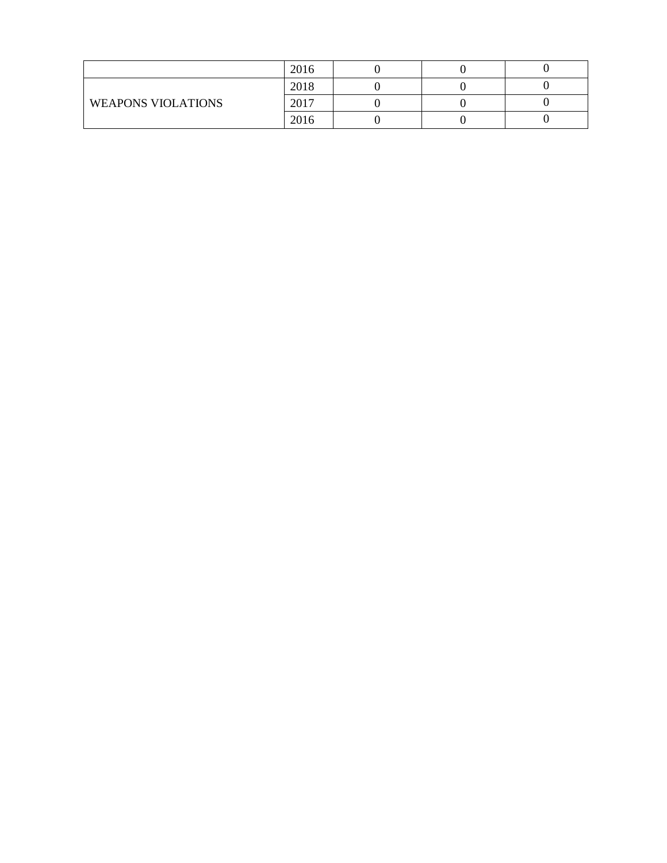|                           | 2016 |  |  |
|---------------------------|------|--|--|
| <b>WEAPONS VIOLATIONS</b> | 2018 |  |  |
|                           | 2017 |  |  |
|                           | 2016 |  |  |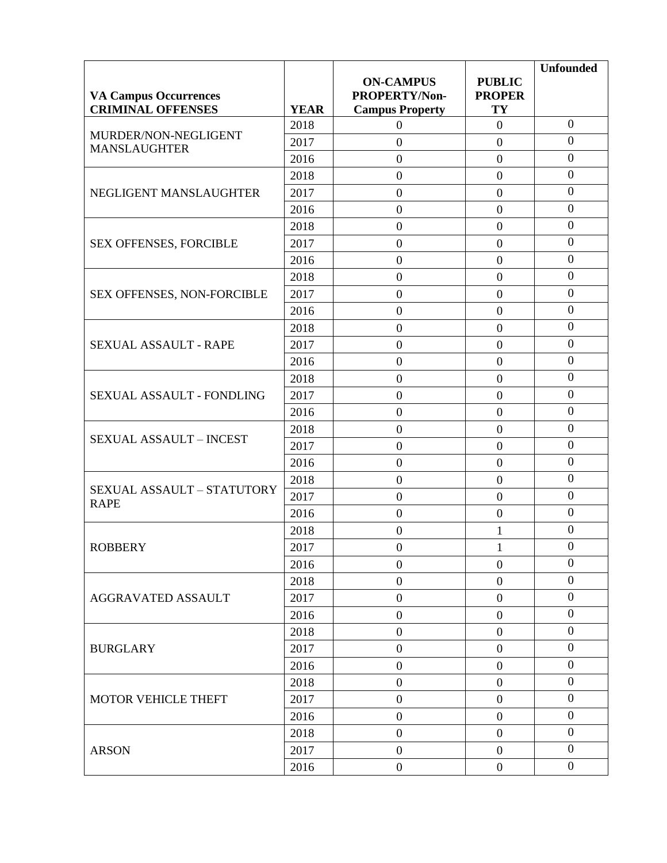|                                                          |             |                                         |                     | <b>Unfounded</b> |
|----------------------------------------------------------|-------------|-----------------------------------------|---------------------|------------------|
|                                                          |             | <b>ON-CAMPUS</b>                        | <b>PUBLIC</b>       |                  |
| <b>VA Campus Occurrences</b><br><b>CRIMINAL OFFENSES</b> | <b>YEAR</b> | PROPERTY/Non-<br><b>Campus Property</b> | <b>PROPER</b><br>TY |                  |
|                                                          | 2018        | $\mathbf{0}$                            | $\boldsymbol{0}$    | $\overline{0}$   |
| MURDER/NON-NEGLIGENT                                     | 2017        | $\boldsymbol{0}$                        | $\boldsymbol{0}$    | $\boldsymbol{0}$ |
| <b>MANSLAUGHTER</b>                                      | 2016        | $\boldsymbol{0}$                        | $\overline{0}$      | $\boldsymbol{0}$ |
|                                                          | 2018        | $\boldsymbol{0}$                        | $\boldsymbol{0}$    | $\boldsymbol{0}$ |
| NEGLIGENT MANSLAUGHTER                                   | 2017        | $\boldsymbol{0}$                        | $\boldsymbol{0}$    | $\boldsymbol{0}$ |
|                                                          | 2016        | $\boldsymbol{0}$                        | $\overline{0}$      | $\overline{0}$   |
|                                                          | 2018        | $\boldsymbol{0}$                        | $\boldsymbol{0}$    | $\boldsymbol{0}$ |
| SEX OFFENSES, FORCIBLE                                   | 2017        | $\boldsymbol{0}$                        | $\boldsymbol{0}$    | $\overline{0}$   |
|                                                          | 2016        | $\boldsymbol{0}$                        | $\overline{0}$      | $\mathbf{0}$     |
|                                                          | 2018        | $\boldsymbol{0}$                        | $\overline{0}$      | $\boldsymbol{0}$ |
| SEX OFFENSES, NON-FORCIBLE                               | 2017        | $\boldsymbol{0}$                        | $\overline{0}$      | $\boldsymbol{0}$ |
|                                                          | 2016        | $\boldsymbol{0}$                        | $\boldsymbol{0}$    | $\boldsymbol{0}$ |
|                                                          | 2018        | $\boldsymbol{0}$                        | $\overline{0}$      | $\overline{0}$   |
| SEXUAL ASSAULT - RAPE                                    | 2017        | $\boldsymbol{0}$                        | $\boldsymbol{0}$    | $\boldsymbol{0}$ |
|                                                          | 2016        | $\boldsymbol{0}$                        | $\boldsymbol{0}$    | $\boldsymbol{0}$ |
|                                                          | 2018        | $\boldsymbol{0}$                        | $\overline{0}$      | $\boldsymbol{0}$ |
| SEXUAL ASSAULT - FONDLING                                | 2017        | $\boldsymbol{0}$                        | $\boldsymbol{0}$    | $\boldsymbol{0}$ |
|                                                          | 2016        | $\boldsymbol{0}$                        | $\overline{0}$      | $\mathbf{0}$     |
| <b>SEXUAL ASSAULT - INCEST</b>                           | 2018        | $\boldsymbol{0}$                        | $\boldsymbol{0}$    | $\mathbf{0}$     |
|                                                          | 2017        | $\boldsymbol{0}$                        | $\overline{0}$      | $\boldsymbol{0}$ |
|                                                          | 2016        | $\boldsymbol{0}$                        | $\overline{0}$      | $\boldsymbol{0}$ |
|                                                          | 2018        | $\boldsymbol{0}$                        | $\overline{0}$      | $\boldsymbol{0}$ |
| SEXUAL ASSAULT - STATUTORY<br><b>RAPE</b>                | 2017        | $\boldsymbol{0}$                        | $\overline{0}$      | $\boldsymbol{0}$ |
|                                                          | 2016        | $\boldsymbol{0}$                        | $\boldsymbol{0}$    | $\boldsymbol{0}$ |
|                                                          | 2018        | $\boldsymbol{0}$                        | $\mathbf{1}$        | $\mathbf{0}$     |
| <b>ROBBERY</b>                                           | 2017        | $\mathbf{0}$                            | $\mathbf{1}$        | $\boldsymbol{0}$ |
|                                                          | 2016        | $\overline{0}$                          | $\boldsymbol{0}$    | $\boldsymbol{0}$ |
|                                                          | 2018        | $\boldsymbol{0}$                        | $\boldsymbol{0}$    | $\boldsymbol{0}$ |
| AGGRAVATED ASSAULT                                       | 2017        | $\boldsymbol{0}$                        | $\boldsymbol{0}$    | $\boldsymbol{0}$ |
|                                                          | 2016        | $\boldsymbol{0}$                        | $\overline{0}$      | $\boldsymbol{0}$ |
|                                                          | 2018        | $\boldsymbol{0}$                        | $\boldsymbol{0}$    | $\boldsymbol{0}$ |
| <b>BURGLARY</b>                                          | 2017        | $\boldsymbol{0}$                        | $\boldsymbol{0}$    | $\boldsymbol{0}$ |
|                                                          | 2016        | $\boldsymbol{0}$                        | $\boldsymbol{0}$    | $\boldsymbol{0}$ |
|                                                          | 2018        | $\boldsymbol{0}$                        | $\boldsymbol{0}$    | $\boldsymbol{0}$ |
| MOTOR VEHICLE THEFT                                      | 2017        | $\boldsymbol{0}$                        | $\boldsymbol{0}$    | $\overline{0}$   |
|                                                          | 2016        | $\mathbf{0}$                            | $\boldsymbol{0}$    | $\boldsymbol{0}$ |
|                                                          | 2018        | $\overline{0}$                          | $\boldsymbol{0}$    | $\boldsymbol{0}$ |
| <b>ARSON</b>                                             | 2017        | $\mathbf{0}$                            | $\boldsymbol{0}$    | $\boldsymbol{0}$ |
|                                                          | 2016        | $\overline{0}$                          | $\overline{0}$      | $\overline{0}$   |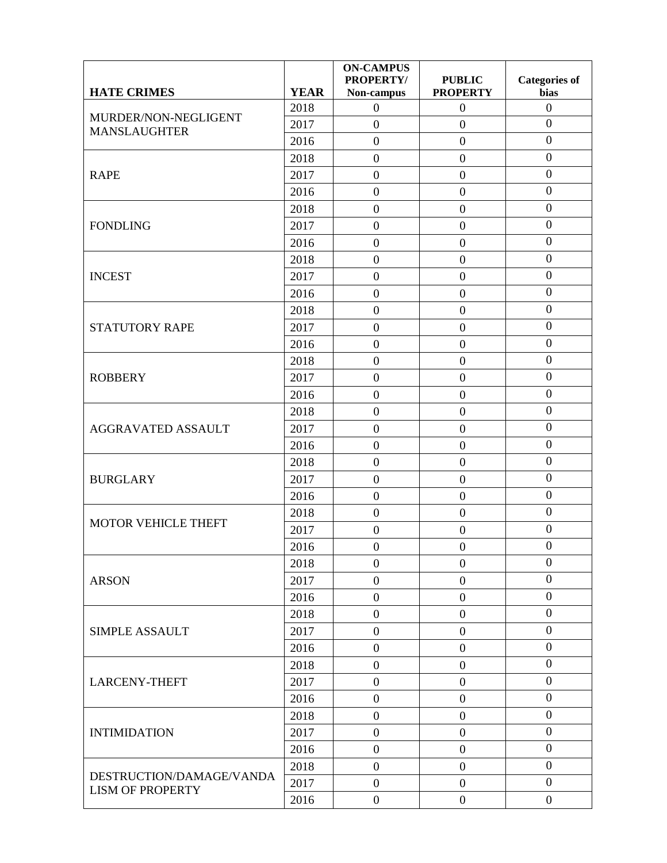|                            |             | <b>ON-CAMPUS</b><br><b>PROPERTY/</b> | <b>PUBLIC</b>    | <b>Categories of</b> |
|----------------------------|-------------|--------------------------------------|------------------|----------------------|
| <b>HATE CRIMES</b>         | <b>YEAR</b> | Non-campus                           | <b>PROPERTY</b>  | bias                 |
| MURDER/NON-NEGLIGENT       | 2018        | $\boldsymbol{0}$                     | $\boldsymbol{0}$ | $\boldsymbol{0}$     |
| <b>MANSLAUGHTER</b>        | 2017        | $\overline{0}$                       | $\boldsymbol{0}$ | $\boldsymbol{0}$     |
|                            | 2016        | $\overline{0}$                       | $\boldsymbol{0}$ | $\overline{0}$       |
|                            | 2018        | $\overline{0}$                       | $\boldsymbol{0}$ | $\overline{0}$       |
| <b>RAPE</b>                | 2017        | $\boldsymbol{0}$                     | $\boldsymbol{0}$ | $\boldsymbol{0}$     |
|                            | 2016        | $\boldsymbol{0}$                     | $\boldsymbol{0}$ | $\boldsymbol{0}$     |
|                            | 2018        | $\overline{0}$                       | $\overline{0}$   | $\boldsymbol{0}$     |
| <b>FONDLING</b>            | 2017        | $\boldsymbol{0}$                     | $\boldsymbol{0}$ | $\boldsymbol{0}$     |
|                            | 2016        | $\overline{0}$                       | $\boldsymbol{0}$ | $\boldsymbol{0}$     |
|                            | 2018        | $\boldsymbol{0}$                     | $\boldsymbol{0}$ | $\boldsymbol{0}$     |
| <b>INCEST</b>              | 2017        | $\overline{0}$                       | $\boldsymbol{0}$ | $\overline{0}$       |
|                            | 2016        | $\overline{0}$                       | $\boldsymbol{0}$ | $\boldsymbol{0}$     |
|                            | 2018        | $\overline{0}$                       | $\boldsymbol{0}$ | $\boldsymbol{0}$     |
| <b>STATUTORY RAPE</b>      | 2017        | $\overline{0}$                       | $\boldsymbol{0}$ | $\boldsymbol{0}$     |
|                            | 2016        | $\boldsymbol{0}$                     | $\boldsymbol{0}$ | $\overline{0}$       |
| <b>ROBBERY</b>             | 2018        | $\boldsymbol{0}$                     | $\boldsymbol{0}$ | $\boldsymbol{0}$     |
|                            | 2017        | $\overline{0}$                       | $\boldsymbol{0}$ | $\boldsymbol{0}$     |
|                            | 2016        | $\overline{0}$                       | $\boldsymbol{0}$ | $\overline{0}$       |
|                            | 2018        | $\overline{0}$                       | $\overline{0}$   | $\boldsymbol{0}$     |
| <b>AGGRAVATED ASSAULT</b>  | 2017        | $\boldsymbol{0}$                     | $\boldsymbol{0}$ | $\boldsymbol{0}$     |
|                            | 2016        | $\overline{0}$                       | $\boldsymbol{0}$ | $\boldsymbol{0}$     |
|                            | 2018        | $\boldsymbol{0}$                     | $\boldsymbol{0}$ | $\boldsymbol{0}$     |
| <b>BURGLARY</b>            | 2017        | $\boldsymbol{0}$                     | $\boldsymbol{0}$ | $\boldsymbol{0}$     |
|                            | 2016        | $\overline{0}$                       | $\boldsymbol{0}$ | $\mathbf{0}$         |
|                            | 2018        | $\boldsymbol{0}$                     | $\boldsymbol{0}$ | $\boldsymbol{0}$     |
| <b>MOTOR VEHICLE THEFT</b> | 2017        | $\boldsymbol{0}$                     | $\boldsymbol{0}$ | $\boldsymbol{0}$     |
|                            | 2016        | $\overline{0}$                       | $\boldsymbol{0}$ | $\overline{0}$       |
|                            | 2018        | $\boldsymbol{0}$                     | $\boldsymbol{0}$ | $\overline{0}$       |
| <b>ARSON</b>               | 2017        | $\boldsymbol{0}$                     | $\boldsymbol{0}$ | $\boldsymbol{0}$     |
|                            | 2016        | $\boldsymbol{0}$                     | $\boldsymbol{0}$ | $\boldsymbol{0}$     |
|                            | 2018        | $\boldsymbol{0}$                     | $\boldsymbol{0}$ | $\boldsymbol{0}$     |
| <b>SIMPLE ASSAULT</b>      | 2017        | $\boldsymbol{0}$                     | $\overline{0}$   | $\boldsymbol{0}$     |
|                            | 2016        | $\boldsymbol{0}$                     | $\boldsymbol{0}$ | $\mathbf{0}$         |
|                            | 2018        | $\boldsymbol{0}$                     | $\boldsymbol{0}$ | $\boldsymbol{0}$     |
| <b>LARCENY-THEFT</b>       | 2017        | $\boldsymbol{0}$                     | $\boldsymbol{0}$ | $\boldsymbol{0}$     |
|                            | 2016        | $\overline{0}$                       | $\boldsymbol{0}$ | $\boldsymbol{0}$     |
|                            | 2018        | $\boldsymbol{0}$                     | $\boldsymbol{0}$ | $\boldsymbol{0}$     |
| <b>INTIMIDATION</b>        | 2017        | $\overline{0}$                       | $\boldsymbol{0}$ | $\boldsymbol{0}$     |
|                            | 2016        | $\boldsymbol{0}$                     | $\boldsymbol{0}$ | $\boldsymbol{0}$     |
|                            | 2018        | $\boldsymbol{0}$                     | $\boldsymbol{0}$ | $\boldsymbol{0}$     |
| DESTRUCTION/DAMAGE/VANDA   | 2017        | $\boldsymbol{0}$                     | $\boldsymbol{0}$ | $\boldsymbol{0}$     |
| <b>LISM OF PROPERTY</b>    | 2016        | $\boldsymbol{0}$                     | $\boldsymbol{0}$ | $\boldsymbol{0}$     |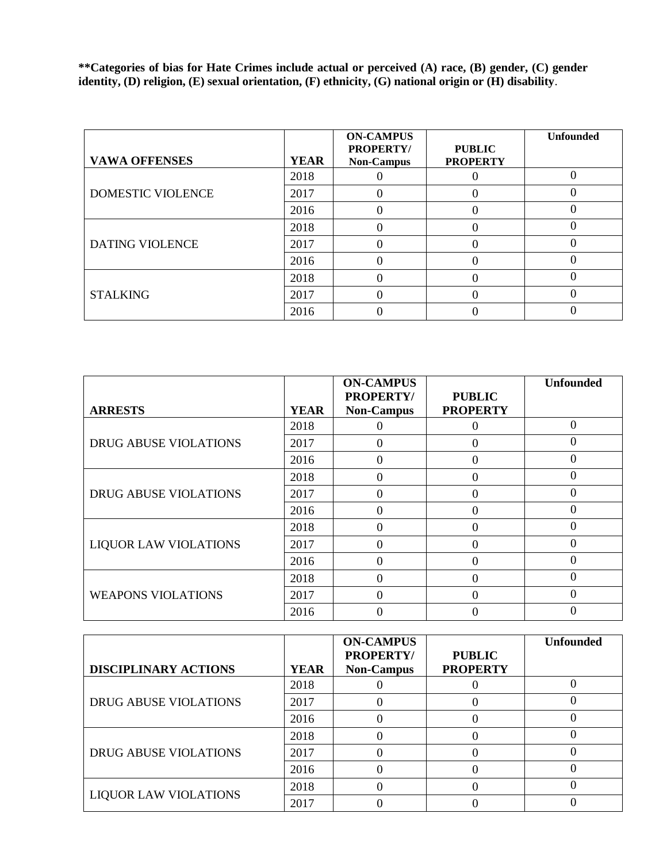**\*\*Categories of bias for Hate Crimes include actual or perceived (A) race, (B) gender, (C) gender identity, (D) religion, (E) sexual orientation, (F) ethnicity, (G) national origin or (H) disability**.

| <b>VAWA OFFENSES</b>   | <b>YEAR</b> | <b>ON-CAMPUS</b><br><b>PROPERTY/</b><br><b>Non-Campus</b> | <b>PUBLIC</b><br><b>PROPERTY</b> | <b>Unfounded</b> |
|------------------------|-------------|-----------------------------------------------------------|----------------------------------|------------------|
|                        | 2018        |                                                           |                                  |                  |
| DOMESTIC VIOLENCE      | 2017        |                                                           |                                  |                  |
|                        | 2016        |                                                           |                                  |                  |
| <b>DATING VIOLENCE</b> | 2018        |                                                           |                                  |                  |
|                        | 2017        |                                                           |                                  |                  |
|                        | 2016        |                                                           |                                  |                  |
|                        | 2018        |                                                           |                                  |                  |
| <b>STALKING</b>        | 2017        |                                                           |                                  |                  |
|                        | 2016        |                                                           |                                  |                  |

|                              |             | <b>ON-CAMPUS</b>                      |                                  | <b>Unfounded</b> |
|------------------------------|-------------|---------------------------------------|----------------------------------|------------------|
| <b>ARRESTS</b>               | <b>YEAR</b> | <b>PROPERTY/</b><br><b>Non-Campus</b> | <b>PUBLIC</b><br><b>PROPERTY</b> |                  |
|                              | 2018        |                                       |                                  | $\Omega$         |
| <b>DRUG ABUSE VIOLATIONS</b> | 2017        | 0                                     | 0                                | $\Omega$         |
|                              | 2016        | 0                                     | $\theta$                         |                  |
|                              | 2018        |                                       | $\Omega$                         |                  |
| <b>DRUG ABUSE VIOLATIONS</b> | 2017        | 0                                     | $\theta$                         |                  |
|                              | 2016        |                                       | $\Omega$                         |                  |
|                              | 2018        |                                       | $\Omega$                         |                  |
| <b>LIQUOR LAW VIOLATIONS</b> | 2017        |                                       | $\Omega$                         |                  |
|                              | 2016        | $\Omega$                              | $\theta$                         | $\Omega$         |
| <b>WEAPONS VIOLATIONS</b>    | 2018        |                                       | $\Omega$                         |                  |
|                              | 2017        |                                       | $\Omega$                         | $\Omega$         |
|                              | 2016        |                                       |                                  |                  |

|                              |             | <b>ON-CAMPUS</b><br><b>PROPERTY/</b> | <b>PUBLIC</b>   | <b>Unfounded</b> |
|------------------------------|-------------|--------------------------------------|-----------------|------------------|
| <b>DISCIPLINARY ACTIONS</b>  | <b>YEAR</b> | <b>Non-Campus</b>                    | <b>PROPERTY</b> |                  |
|                              | 2018        |                                      |                 |                  |
| <b>DRUG ABUSE VIOLATIONS</b> | 2017        |                                      |                 |                  |
|                              | 2016        |                                      |                 |                  |
|                              | 2018        |                                      |                 |                  |
| <b>DRUG ABUSE VIOLATIONS</b> | 2017        |                                      |                 |                  |
|                              | 2016        |                                      |                 |                  |
|                              | 2018        |                                      |                 |                  |
| <b>LIQUOR LAW VIOLATIONS</b> | 2017        |                                      |                 |                  |